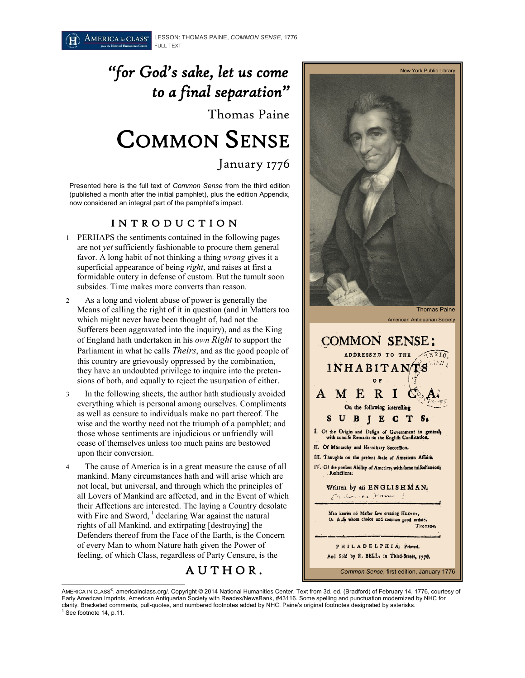# *"for God's sake, let us come to a final separation"*  Thomas Paine COMMON SENSE

January 1776

Presented here is the full text of *Common Sense* from the third edition (published a month after the initial pamphlet), plus the edition Appendix, now considered an integral part of the pamphlet's impact.

#### I N T R O D U C T I O N

- 1 PERHAPS the sentiments contained in the following pages are not *yet* sufficiently fashionable to procure them general favor. A long habit of not thinking a thing *wrong* gives it a superficial appearance of being *right*, and raises at first a formidable outcry in defense of custom. But the tumult soon subsides. Time makes more converts than reason.
- 2 As a long and violent abuse of power is generally the Means of calling the right of it in question (and in Matters too which might never have been thought of, had not the Sufferers been aggravated into the inquiry), and as the King of England hath undertaken in his *own Right* to support the Parliament in what he calls *Theirs*, and as the good people of this country are grievously oppressed by the combination, they have an undoubted privilege to inquire into the pretensions of both, and equally to reject the usurpation of either.
- 3 In the following sheets, the author hath studiously avoided everything which is personal among ourselves. Compliments as well as censure to individuals make no part thereof. The wise and the worthy need not the triumph of a pamphlet; and those whose sentiments are injudicious or unfriendly will cease of themselves unless too much pains are bestowed upon their conversion.
- 4 The cause of America is in a great measure the cause of all mankind. Many circumstances hath and will arise which are not local, but universal, and through which the principles of all Lovers of Mankind are affected, and in the Event of which their Affections are interested. The laying a Country desolate with Fire and Sword,  $1$  declaring War against the natural rights of all Mankind, and extirpating [destroying] the Defenders thereof from the Face of the Earth, is the Concern of every Man to whom Nature hath given the Power of feeling, of which Class, regardless of Party Censure, is the

A U T H O R .



And Sold by R. BELL, in Third-Street, 1770,

*Common Sense*, first edition, January 1776

 $\overline{a}$ AMERICA IN CLASS®: americainclass.org/. Copyright © 2014 National Humanities Center. Text from 3d. ed. (Bradford) of February 14, 1776, courtesy of Early American Imprints, American Antiquarian Society with Readex/NewsBank, #43116. Some spelling and punctuation modernized by NHC for clarity. Bracketed comments, pull-quotes, and numbered footnotes added by NHC. Paine's original footnotes designated by asterisks.  $<sup>1</sup>$  See footnote 14, p.11.</sup>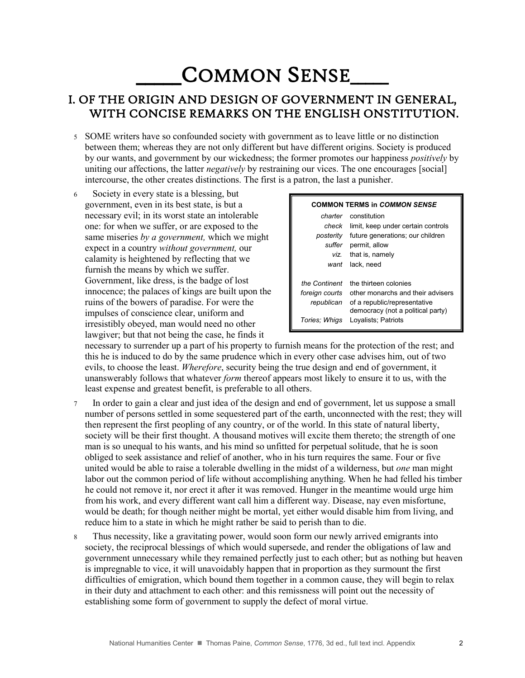# COMMON SENSE

#### I. OF THE ORIGIN AND DESIGN OF GOVERNMENT IN GENERAL, WITH CONCISE REMARKS ON THE ENGLISH ONSTITUTION.

- 5 SOME writers have so confounded society with government as to leave little or no distinction between them; whereas they are not only different but have different origins. Society is produced by our wants, and government by our wickedness; the former promotes our happiness *positively* by uniting our affections, the latter *negatively* by restraining our vices. The one encourages [social] intercourse, the other creates distinctions. The first is a patron, the last a punisher.
- 6 Society in every state is a blessing, but government, even in its best state, is but a necessary evil; in its worst state an intolerable one: for when we suffer, or are exposed to the same miseries *by a government,* which we might expect in a country *without government,* our calamity is heightened by reflecting that we furnish the means by which we suffer. Government, like dress, is the badge of lost innocence; the palaces of kings are built upon the ruins of the bowers of paradise. For were the impulses of conscience clear, uniform and irresistibly obeyed, man would need no other lawgiver; but that not being the case, he finds it

#### **COMMON TERMS in** *COMMON SENSE*

|                | <i>charter</i> constitution                     |
|----------------|-------------------------------------------------|
|                | <i>check</i> limit, keep under certain controls |
| posteritv      | future generations; our children                |
| suffer         | permit, allow                                   |
|                | viz. that is, namely                            |
| want           | lack. need                                      |
|                |                                                 |
| the Continent  | the thirteen colonies                           |
| foreign courts | other monarchs and their advisers               |
| republican     | of a republic/representative                    |
|                | democracy (not a political party)               |
| Tories: Whigs  | Loyalists; Patriots                             |

necessary to surrender up a part of his property to furnish means for the protection of the rest; and this he is induced to do by the same prudence which in every other case advises him, out of two evils, to choose the least. *Wherefore*, security being the true design and end of government, it unanswerably follows that whatever *form* thereof appears most likely to ensure it to us, with the least expense and greatest benefit, is preferable to all others.

- 7 In order to gain a clear and just idea of the design and end of government, let us suppose a small number of persons settled in some sequestered part of the earth, unconnected with the rest; they will then represent the first peopling of any country, or of the world. In this state of natural liberty, society will be their first thought. A thousand motives will excite them thereto; the strength of one man is so unequal to his wants, and his mind so unfitted for perpetual solitude, that he is soon obliged to seek assistance and relief of another, who in his turn requires the same. Four or five united would be able to raise a tolerable dwelling in the midst of a wilderness, but *one* man might labor out the common period of life without accomplishing anything. When he had felled his timber he could not remove it, nor erect it after it was removed. Hunger in the meantime would urge him from his work, and every different want call him a different way. Disease, nay even misfortune, would be death; for though neither might be mortal, yet either would disable him from living, and reduce him to a state in which he might rather be said to perish than to die.
- 8 Thus necessity, like a gravitating power, would soon form our newly arrived emigrants into society, the reciprocal blessings of which would supersede, and render the obligations of law and government unnecessary while they remained perfectly just to each other; but as nothing but heaven is impregnable to vice, it will unavoidably happen that in proportion as they surmount the first difficulties of emigration, which bound them together in a common cause, they will begin to relax in their duty and attachment to each other: and this remissness will point out the necessity of establishing some form of government to supply the defect of moral virtue.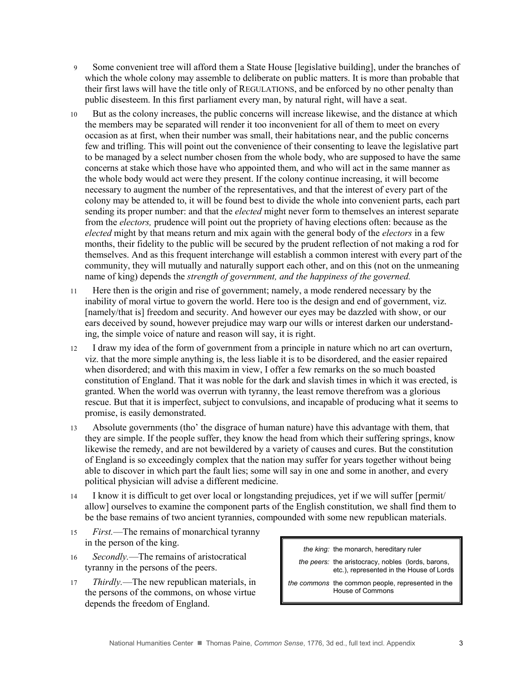- 9 Some convenient tree will afford them a State House [legislative building], under the branches of which the whole colony may assemble to deliberate on public matters. It is more than probable that their first laws will have the title only of REGULATIONS, and be enforced by no other penalty than public disesteem. In this first parliament every man, by natural right, will have a seat.
- 10 But as the colony increases, the public concerns will increase likewise, and the distance at which the members may be separated will render it too inconvenient for all of them to meet on every occasion as at first, when their number was small, their habitations near, and the public concerns few and trifling. This will point out the convenience of their consenting to leave the legislative part to be managed by a select number chosen from the whole body, who are supposed to have the same concerns at stake which those have who appointed them, and who will act in the same manner as the whole body would act were they present. If the colony continue increasing, it will become necessary to augment the number of the representatives, and that the interest of every part of the colony may be attended to, it will be found best to divide the whole into convenient parts, each part sending its proper number: and that the *elected* might never form to themselves an interest separate from the *electors,* prudence will point out the propriety of having elections often: because as the *elected* might by that means return and mix again with the general body of the *electors* in a few months, their fidelity to the public will be secured by the prudent reflection of not making a rod for themselves. And as this frequent interchange will establish a common interest with every part of the community, they will mutually and naturally support each other, and on this (not on the unmeaning name of king) depends the *strength of government, and the happiness of the governed.*
- 11 Here then is the origin and rise of government; namely, a mode rendered necessary by the inability of moral virtue to govern the world. Here too is the design and end of government, viz. [namely/that is] freedom and security. And however our eyes may be dazzled with show, or our ears deceived by sound, however prejudice may warp our wills or interest darken our understanding, the simple voice of nature and reason will say, it is right.
- 12 I draw my idea of the form of government from a principle in nature which no art can overturn, viz. that the more simple anything is, the less liable it is to be disordered, and the easier repaired when disordered; and with this maxim in view, I offer a few remarks on the so much boasted constitution of England. That it was noble for the dark and slavish times in which it was erected, is granted. When the world was overrun with tyranny, the least remove therefrom was a glorious rescue. But that it is imperfect, subject to convulsions, and incapable of producing what it seems to promise, is easily demonstrated.
- 13 Absolute governments (tho' the disgrace of human nature) have this advantage with them, that they are simple. If the people suffer, they know the head from which their suffering springs, know likewise the remedy, and are not bewildered by a variety of causes and cures. But the constitution of England is so exceedingly complex that the nation may suffer for years together without being able to discover in which part the fault lies; some will say in one and some in another, and every political physician will advise a different medicine.
- 14 I know it is difficult to get over local or longstanding prejudices, yet if we will suffer [permit/ allow] ourselves to examine the component parts of the English constitution, we shall find them to be the base remains of two ancient tyrannies, compounded with some new republican materials.
- 15 *First.*—The remains of monarchical tyranny in the person of the king.
- 16 *Secondly.*—The remains of aristocratical tyranny in the persons of the peers.
- 17 *Thirdly.*—The new republican materials, in the persons of the commons, on whose virtue depends the freedom of England.

*the king:* the monarch, hereditary ruler

*the peers:* the aristocracy, nobles (lords, barons, etc.), represented in the House of Lords

*the commons* the common people, represented in the House of Commons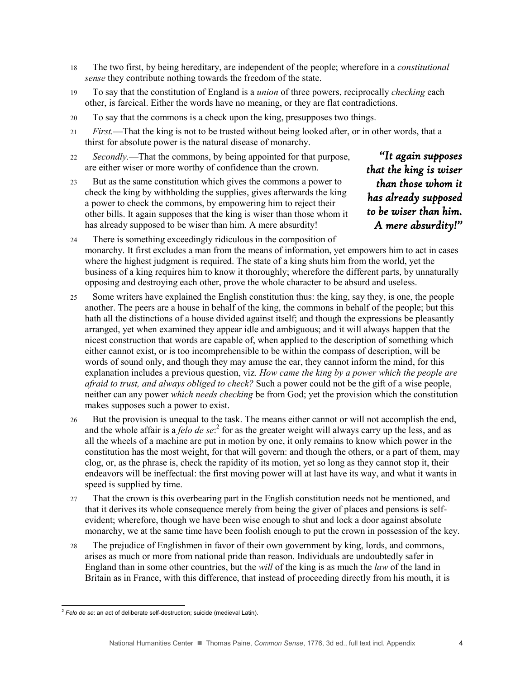- 18 The two first, by being hereditary, are independent of the people; wherefore in a *constitutional sense* they contribute nothing towards the freedom of the state.
- 19 To say that the constitution of England is a *union* of three powers, reciprocally *checking* each other, is farcical. Either the words have no meaning, or they are flat contradictions.
- 20 To say that the commons is a check upon the king, presupposes two things.
- 21 *First.*—That the king is not to be trusted without being looked after, or in other words, that a thirst for absolute power is the natural disease of monarchy.
- 22 *Secondly.*—That the commons, by being appointed for that purpose, are either wiser or more worthy of confidence than the crown.
- 23 But as the same constitution which gives the commons a power to check the king by withholding the supplies, gives afterwards the king a power to check the commons, by empowering him to reject their other bills. It again supposes that the king is wiser than those whom it has already supposed to be wiser than him. A mere absurdity!

*"It again supposes that the king is wiser than those whom it has already supposed to be wiser than him. A mere absurdity!"* 

- 24 There is something exceedingly ridiculous in the composition of monarchy. It first excludes a man from the means of information, yet empowers him to act in cases where the highest judgment is required. The state of a king shuts him from the world, yet the business of a king requires him to know it thoroughly; wherefore the different parts, by unnaturally opposing and destroying each other, prove the whole character to be absurd and useless.
- 25 Some writers have explained the English constitution thus: the king, say they, is one, the people another. The peers are a house in behalf of the king, the commons in behalf of the people; but this hath all the distinctions of a house divided against itself; and though the expressions be pleasantly arranged, yet when examined they appear idle and ambiguous; and it will always happen that the nicest construction that words are capable of, when applied to the description of something which either cannot exist, or is too incomprehensible to be within the compass of description, will be words of sound only, and though they may amuse the ear, they cannot inform the mind, for this explanation includes a previous question, viz. *How came the king by a power which the people are afraid to trust, and always obliged to check?* Such a power could not be the gift of a wise people, neither can any power *which needs checking* be from God; yet the provision which the constitution makes supposes such a power to exist.
- 26 But the provision is unequal to the task. The means either cannot or will not accomplish the end, and the whole affair is a *felo de se*: 2 for as the greater weight will always carry up the less, and as all the wheels of a machine are put in motion by one, it only remains to know which power in the constitution has the most weight, for that will govern: and though the others, or a part of them, may clog, or, as the phrase is, check the rapidity of its motion, yet so long as they cannot stop it, their endeavors will be ineffectual: the first moving power will at last have its way, and what it wants in speed is supplied by time.
- 27 That the crown is this overbearing part in the English constitution needs not be mentioned, and that it derives its whole consequence merely from being the giver of places and pensions is selfevident; wherefore, though we have been wise enough to shut and lock a door against absolute monarchy, we at the same time have been foolish enough to put the crown in possession of the key.
- 28 The prejudice of Englishmen in favor of their own government by king, lords, and commons, arises as much or more from national pride than reason. Individuals are undoubtedly safer in England than in some other countries, but the *will* of the king is as much the *law* of the land in Britain as in France, with this difference, that instead of proceeding directly from his mouth, it is

 2 *Felo de se*: an act of deliberate self-destruction; suicide (medieval Latin).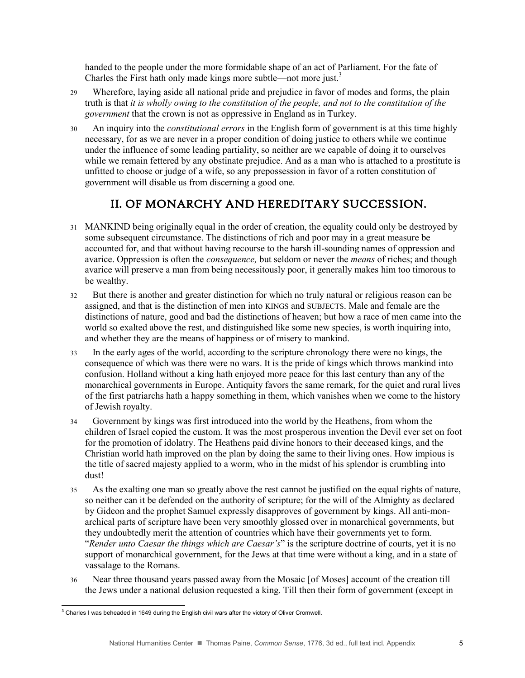handed to the people under the more formidable shape of an act of Parliament. For the fate of Charles the First hath only made kings more subtle—not more just.<sup>3</sup>

- 29 Wherefore, laying aside all national pride and prejudice in favor of modes and forms, the plain truth is that *it is wholly owing to the constitution of the people, and not to the constitution of the government* that the crown is not as oppressive in England as in Turkey.
- 30 An inquiry into the *constitutional errors* in the English form of government is at this time highly necessary, for as we are never in a proper condition of doing justice to others while we continue under the influence of some leading partiality, so neither are we capable of doing it to ourselves while we remain fettered by any obstinate prejudice. And as a man who is attached to a prostitute is unfitted to choose or judge of a wife, so any prepossession in favor of a rotten constitution of government will disable us from discerning a good one.

## II. OF MONARCHY AND HEREDITARY SUCCESSION.

- 31 MANKIND being originally equal in the order of creation, the equality could only be destroyed by some subsequent circumstance. The distinctions of rich and poor may in a great measure be accounted for, and that without having recourse to the harsh ill-sounding names of oppression and avarice. Oppression is often the *consequence,* but seldom or never the *means* of riches; and though avarice will preserve a man from being necessitously poor, it generally makes him too timorous to be wealthy.
- 32 But there is another and greater distinction for which no truly natural or religious reason can be assigned, and that is the distinction of men into KINGS and SUBJECTS. Male and female are the distinctions of nature, good and bad the distinctions of heaven; but how a race of men came into the world so exalted above the rest, and distinguished like some new species, is worth inquiring into, and whether they are the means of happiness or of misery to mankind.
- 33 In the early ages of the world, according to the scripture chronology there were no kings, the consequence of which was there were no wars. It is the pride of kings which throws mankind into confusion. Holland without a king hath enjoyed more peace for this last century than any of the monarchical governments in Europe. Antiquity favors the same remark, for the quiet and rural lives of the first patriarchs hath a happy something in them, which vanishes when we come to the history of Jewish royalty.
- 34 Government by kings was first introduced into the world by the Heathens, from whom the children of Israel copied the custom. It was the most prosperous invention the Devil ever set on foot for the promotion of idolatry. The Heathens paid divine honors to their deceased kings, and the Christian world hath improved on the plan by doing the same to their living ones. How impious is the title of sacred majesty applied to a worm, who in the midst of his splendor is crumbling into dust!
- 35 As the exalting one man so greatly above the rest cannot be justified on the equal rights of nature, so neither can it be defended on the authority of scripture; for the will of the Almighty as declared by Gideon and the prophet Samuel expressly disapproves of government by kings. All anti-monarchical parts of scripture have been very smoothly glossed over in monarchical governments, but they undoubtedly merit the attention of countries which have their governments yet to form. "*Render unto Caesar the things which are Caesar's*" is the scripture doctrine of courts, yet it is no support of monarchical government, for the Jews at that time were without a king, and in a state of vassalage to the Romans.
- 36 Near three thousand years passed away from the Mosaic [of Moses] account of the creation till the Jews under a national delusion requested a king. Till then their form of government (except in

 $\overline{a}$  $3$  Charles I was beheaded in 1649 during the English civil wars after the victory of Oliver Cromwell.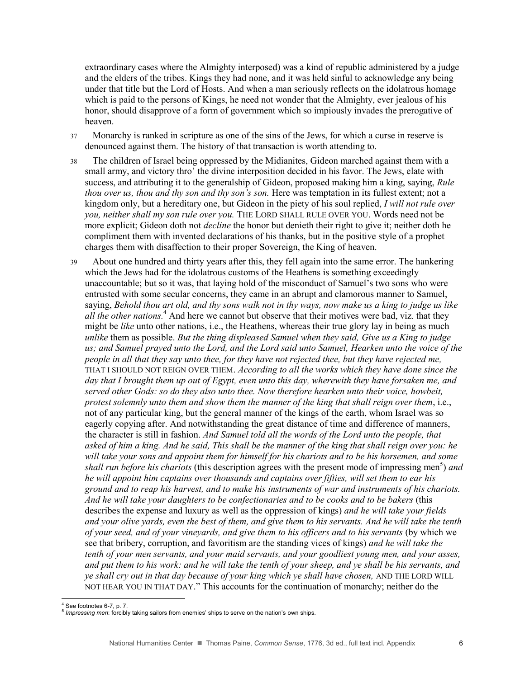extraordinary cases where the Almighty interposed) was a kind of republic administered by a judge and the elders of the tribes. Kings they had none, and it was held sinful to acknowledge any being under that title but the Lord of Hosts. And when a man seriously reflects on the idolatrous homage which is paid to the persons of Kings, he need not wonder that the Almighty, ever jealous of his honor, should disapprove of a form of government which so impiously invades the prerogative of heaven.

- 37 Monarchy is ranked in scripture as one of the sins of the Jews, for which a curse in reserve is denounced against them. The history of that transaction is worth attending to.
- 38 The children of Israel being oppressed by the Midianites, Gideon marched against them with a small army, and victory thro' the divine interposition decided in his favor. The Jews, elate with success, and attributing it to the generalship of Gideon, proposed making him a king, saying, *Rule thou over us, thou and thy son and thy son's son.* Here was temptation in its fullest extent; not a kingdom only, but a hereditary one, but Gideon in the piety of his soul replied, *I will not rule over you, neither shall my son rule over you.* THE LORD SHALL RULE OVER YOU. Words need not be more explicit; Gideon doth not *decline* the honor but denieth their right to give it; neither doth he compliment them with invented declarations of his thanks, but in the positive style of a prophet charges them with disaffection to their proper Sovereign, the King of heaven.
- 39 About one hundred and thirty years after this, they fell again into the same error. The hankering which the Jews had for the idolatrous customs of the Heathens is something exceedingly unaccountable; but so it was, that laying hold of the misconduct of Samuel's two sons who were entrusted with some secular concerns, they came in an abrupt and clamorous manner to Samuel, saying, *Behold thou art old, and thy sons walk not in thy ways, now make us a king to judge us like all the other nations.*<sup>4</sup> And here we cannot but observe that their motives were bad, viz. that they might be *like* unto other nations, i.e., the Heathens, whereas their true glory lay in being as much *unlike* them as possible. *But the thing displeased Samuel when they said, Give us a King to judge us; and Samuel prayed unto the Lord, and the Lord said unto Samuel, Hearken unto the voice of the people in all that they say unto thee, for they have not rejected thee, but they have rejected me,* THAT I SHOULD NOT REIGN OVER THEM. *According to all the works which they have done since the day that I brought them up out of Egypt, even unto this day, wherewith they have forsaken me, and served other Gods: so do they also unto thee. Now therefore hearken unto their voice, howbeit, protest solemnly unto them and show them the manner of the king that shall reign over them*, i.e., not of any particular king, but the general manner of the kings of the earth, whom Israel was so eagerly copying after. And notwithstanding the great distance of time and difference of manners, the character is still in fashion. *And Samuel told all the words of the Lord unto the people, that asked of him a king. And he said, This shall be the manner of the king that shall reign over you: he will take your sons and appoint them for himself for his chariots and to be his horsemen, and some*  shall run before his chariots (this description agrees with the present mode of impressing men<sup>5</sup>) and *he will appoint him captains over thousands and captains over fifties, will set them to ear his ground and to reap his harvest, and to make his instruments of war and instruments of his chariots. And he will take your daughters to be confectionaries and to be cooks and to be bakers* (this describes the expense and luxury as well as the oppression of kings) *and he will take your fields and your olive yards, even the best of them, and give them to his servants. And he will take the tenth of your seed, and of your vineyards, and give them to his officers and to his servants* (by which we see that bribery, corruption, and favoritism are the standing vices of kings) *and he will take the tenth of your men servants, and your maid servants, and your goodliest young men, and your asses, and put them to his work: and he will take the tenth of your sheep, and ye shall be his servants, and ye shall cry out in that day because of your king which ye shall have chosen,* AND THE LORD WILL NOT HEAR YOU IN THAT DAY." This accounts for the continuation of monarchy; neither do the

 $4$  See footnotes 6-7, p. 7.

<sup>5</sup> *Impressing men*: forcibly taking sailors from enemies' ships to serve on the nation's own ships.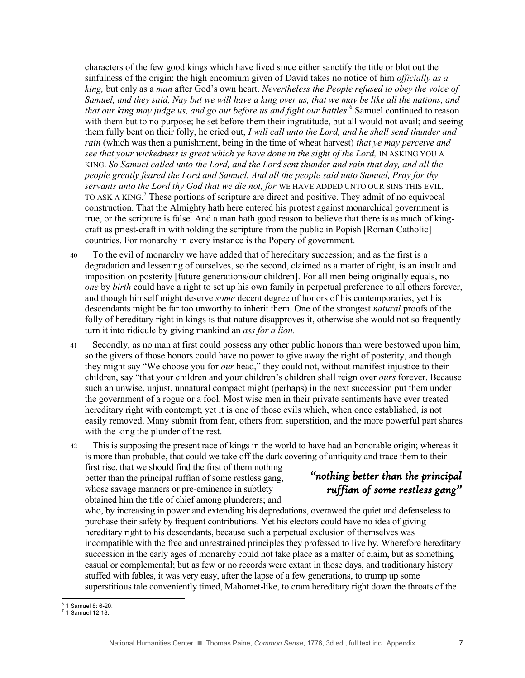characters of the few good kings which have lived since either sanctify the title or blot out the sinfulness of the origin; the high encomium given of David takes no notice of him *officially as a king,* but only as a *man* after God's own heart. *Nevertheless the People refused to obey the voice of Samuel, and they said, Nay but we will have a king over us, that we may be like all the nations, and that our king may judge us, and go out before us and fight our battles.*<sup>6</sup> Samuel continued to reason with them but to no purpose; he set before them their ingratitude, but all would not avail; and seeing them fully bent on their folly, he cried out, *I will call unto the Lord, and he shall send thunder and rain* (which was then a punishment, being in the time of wheat harvest) *that ye may perceive and see that your wickedness is great which ye have done in the sight of the Lord,* IN ASKING YOU A KING. *So Samuel called unto the Lord, and the Lord sent thunder and rain that day, and all the people greatly feared the Lord and Samuel. And all the people said unto Samuel, Pray for thy servants unto the Lord thy God that we die not, for* WE HAVE ADDED UNTO OUR SINS THIS EVIL, TO ASK A KING. <sup>7</sup> These portions of scripture are direct and positive. They admit of no equivocal construction. That the Almighty hath here entered his protest against monarchical government is true, or the scripture is false. And a man hath good reason to believe that there is as much of kingcraft as priest-craft in withholding the scripture from the public in Popish [Roman Catholic] countries. For monarchy in every instance is the Popery of government.

- 40 To the evil of monarchy we have added that of hereditary succession; and as the first is a degradation and lessening of ourselves, so the second, claimed as a matter of right, is an insult and imposition on posterity [future generations/our children]. For all men being originally equals, no *one* by *birth* could have a right to set up his own family in perpetual preference to all others forever, and though himself might deserve *some* decent degree of honors of his contemporaries, yet his descendants might be far too unworthy to inherit them. One of the strongest *natural* proofs of the folly of hereditary right in kings is that nature disapproves it, otherwise she would not so frequently turn it into ridicule by giving mankind an *ass for a lion.*
- 41 Secondly, as no man at first could possess any other public honors than were bestowed upon him, so the givers of those honors could have no power to give away the right of posterity, and though they might say "We choose you for *our* head," they could not, without manifest injustice to their children, say "that your children and your children's children shall reign over *ours* forever. Because such an unwise, unjust, unnatural compact might (perhaps) in the next succession put them under the government of a rogue or a fool. Most wise men in their private sentiments have ever treated hereditary right with contempt; yet it is one of those evils which, when once established, is not easily removed. Many submit from fear, others from superstition, and the more powerful part shares with the king the plunder of the rest.
- 42 This is supposing the present race of kings in the world to have had an honorable origin; whereas it is more than probable, that could we take off the dark covering of antiquity and trace them to their

first rise, that we should find the first of them nothing better than the principal ruffian of some restless gang, whose savage manners or pre-eminence in subtlety obtained him the title of chief among plunderers; and

#### *"nothing better than the principal ruffian of some restless gang"*

who, by increasing in power and extending his depredations, overawed the quiet and defenseless to purchase their safety by frequent contributions. Yet his electors could have no idea of giving hereditary right to his descendants, because such a perpetual exclusion of themselves was incompatible with the free and unrestrained principles they professed to live by. Wherefore hereditary succession in the early ages of monarchy could not take place as a matter of claim, but as something casual or complemental; but as few or no records were extant in those days, and traditionary history stuffed with fables, it was very easy, after the lapse of a few generations, to trump up some superstitious tale conveniently timed, Mahomet-like, to cram hereditary right down the throats of the

<sup>&</sup>lt;sup>6</sup> 1 Samuel 8: 6-20.

 $<sup>7</sup>$  1 Samuel 12:18.</sup>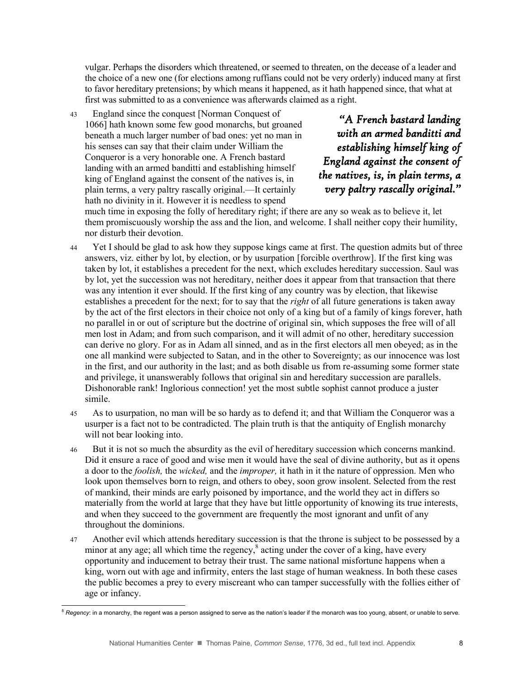vulgar. Perhaps the disorders which threatened, or seemed to threaten, on the decease of a leader and the choice of a new one (for elections among ruffians could not be very orderly) induced many at first to favor hereditary pretensions; by which means it happened, as it hath happened since, that what at first was submitted to as a convenience was afterwards claimed as a right.

43 England since the conquest [Norman Conquest of 1066] hath known some few good monarchs, but groaned beneath a much larger number of bad ones: yet no man in his senses can say that their claim under William the Conqueror is a very honorable one. A French bastard landing with an armed banditti and establishing himself king of England against the consent of the natives is, in plain terms, a very paltry rascally original.—It certainly hath no divinity in it. However it is needless to spend

*"A French bastard landing with an armed banditti and establishing himself king of England against the consent of the natives, is, in plain terms, a very paltry rascally original."* 

much time in exposing the folly of hereditary right; if there are any so weak as to believe it, let them promiscuously worship the ass and the lion, and welcome. I shall neither copy their humility, nor disturb their devotion.

- 44 Yet I should be glad to ask how they suppose kings came at first. The question admits but of three answers, viz. either by lot, by election, or by usurpation [forcible overthrow]. If the first king was taken by lot, it establishes a precedent for the next, which excludes hereditary succession. Saul was by lot, yet the succession was not hereditary, neither does it appear from that transaction that there was any intention it ever should. If the first king of any country was by election, that likewise establishes a precedent for the next; for to say that the *right* of all future generations is taken away by the act of the first electors in their choice not only of a king but of a family of kings forever, hath no parallel in or out of scripture but the doctrine of original sin, which supposes the free will of all men lost in Adam; and from such comparison, and it will admit of no other, hereditary succession can derive no glory. For as in Adam all sinned, and as in the first electors all men obeyed; as in the one all mankind were subjected to Satan, and in the other to Sovereignty; as our innocence was lost in the first, and our authority in the last; and as both disable us from re-assuming some former state and privilege, it unanswerably follows that original sin and hereditary succession are parallels. Dishonorable rank! Inglorious connection! yet the most subtle sophist cannot produce a juster simile.
- 45 As to usurpation, no man will be so hardy as to defend it; and that William the Conqueror was a usurper is a fact not to be contradicted. The plain truth is that the antiquity of English monarchy will not bear looking into.
- 46 But it is not so much the absurdity as the evil of hereditary succession which concerns mankind. Did it ensure a race of good and wise men it would have the seal of divine authority, but as it opens a door to the *foolish,* the *wicked,* and the *improper,* it hath in it the nature of oppression. Men who look upon themselves born to reign, and others to obey, soon grow insolent. Selected from the rest of mankind, their minds are early poisoned by importance, and the world they act in differs so materially from the world at large that they have but little opportunity of knowing its true interests, and when they succeed to the government are frequently the most ignorant and unfit of any throughout the dominions.
- 47 Another evil which attends hereditary succession is that the throne is subject to be possessed by a minor at any age; all which time the regency,<sup>8</sup> acting under the cover of a king, have every opportunity and inducement to betray their trust. The same national misfortune happens when a king, worn out with age and infirmity, enters the last stage of human weakness. In both these cases the public becomes a prey to every miscreant who can tamper successfully with the follies either of age or infancy.

 $\overline{a}$ 

<sup>&</sup>lt;sup>8</sup> Regency: in a monarchy, the regent was a person assigned to serve as the nation's leader if the monarch was too young, absent, or unable to serve.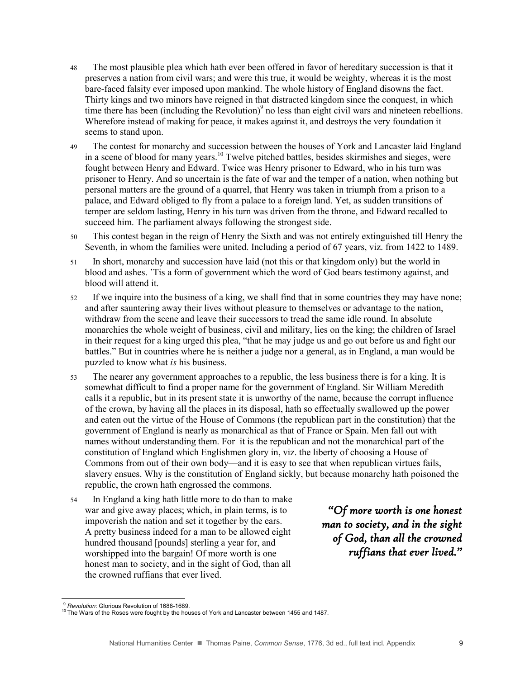- 48 The most plausible plea which hath ever been offered in favor of hereditary succession is that it preserves a nation from civil wars; and were this true, it would be weighty, whereas it is the most bare-faced falsity ever imposed upon mankind. The whole history of England disowns the fact. Thirty kings and two minors have reigned in that distracted kingdom since the conquest, in which time there has been (including the Revolution)<sup>9</sup> no less than eight civil wars and nineteen rebellions. Wherefore instead of making for peace, it makes against it, and destroys the very foundation it seems to stand upon.
- 49 The contest for monarchy and succession between the houses of York and Lancaster laid England in a scene of blood for many years.<sup>10</sup> Twelve pitched battles, besides skirmishes and sieges, were fought between Henry and Edward. Twice was Henry prisoner to Edward, who in his turn was prisoner to Henry. And so uncertain is the fate of war and the temper of a nation, when nothing but personal matters are the ground of a quarrel, that Henry was taken in triumph from a prison to a palace, and Edward obliged to fly from a palace to a foreign land. Yet, as sudden transitions of temper are seldom lasting, Henry in his turn was driven from the throne, and Edward recalled to succeed him. The parliament always following the strongest side.
- 50 This contest began in the reign of Henry the Sixth and was not entirely extinguished till Henry the Seventh, in whom the families were united. Including a period of 67 years, viz. from 1422 to 1489.
- 51 In short, monarchy and succession have laid (not this or that kingdom only) but the world in blood and ashes. 'Tis a form of government which the word of God bears testimony against, and blood will attend it.
- 52 If we inquire into the business of a king, we shall find that in some countries they may have none; and after sauntering away their lives without pleasure to themselves or advantage to the nation, withdraw from the scene and leave their successors to tread the same idle round. In absolute monarchies the whole weight of business, civil and military, lies on the king; the children of Israel in their request for a king urged this plea, "that he may judge us and go out before us and fight our battles." But in countries where he is neither a judge nor a general, as in England, a man would be puzzled to know what *is* his business.
- 53 The nearer any government approaches to a republic, the less business there is for a king. It is somewhat difficult to find a proper name for the government of England. Sir William Meredith calls it a republic, but in its present state it is unworthy of the name, because the corrupt influence of the crown, by having all the places in its disposal, hath so effectually swallowed up the power and eaten out the virtue of the House of Commons (the republican part in the constitution) that the government of England is nearly as monarchical as that of France or Spain. Men fall out with names without understanding them. For it is the republican and not the monarchical part of the constitution of England which Englishmen glory in, viz. the liberty of choosing a House of Commons from out of their own body—and it is easy to see that when republican virtues fails, slavery ensues. Why is the constitution of England sickly, but because monarchy hath poisoned the republic, the crown hath engrossed the commons.
- 54 In England a king hath little more to do than to make war and give away places; which, in plain terms, is to impoverish the nation and set it together by the ears. A pretty business indeed for a man to be allowed eight hundred thousand [pounds] sterling a year for, and worshipped into the bargain! Of more worth is one honest man to society, and in the sight of God, than all the crowned ruffians that ever lived.

*"Of more worth is one honest man to society, and in the sight of God, than all the crowned ruffians that ever lived."* 

<sup>9</sup> *Revolution*: Glorious Revolution of 1688-1689.

<sup>10</sup> The Wars of the Roses were fought by the houses of York and Lancaster between 1455 and 1487.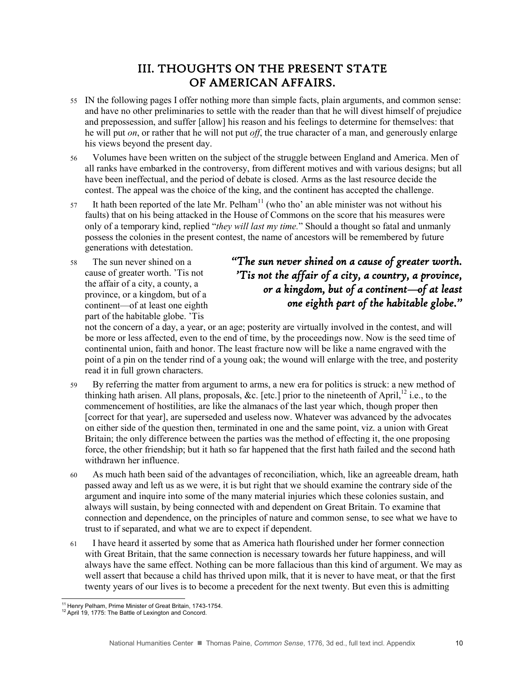#### III. THOUGHTS ON THE PRESENT STATE OF AMERICAN AFFAIRS.

- 55 IN the following pages I offer nothing more than simple facts, plain arguments, and common sense: and have no other preliminaries to settle with the reader than that he will divest himself of prejudice and prepossession, and suffer [allow] his reason and his feelings to determine for themselves: that he will put *on*, or rather that he will not put *off*, the true character of a man, and generously enlarge his views beyond the present day.
- 56 Volumes have been written on the subject of the struggle between England and America. Men of all ranks have embarked in the controversy, from different motives and with various designs; but all have been ineffectual, and the period of debate is closed. Arms as the last resource decide the contest. The appeal was the choice of the king, and the continent has accepted the challenge.
- 57 It hath been reported of the late Mr. Pelham<sup>11</sup> (who tho' an able minister was not without his faults) that on his being attacked in the House of Commons on the score that his measures were only of a temporary kind, replied "*they will last my time.*" Should a thought so fatal and unmanly possess the colonies in the present contest, the name of ancestors will be remembered by future generations with detestation.
- 58 The sun never shined on a cause of greater worth. 'Tis not the affair of a city, a county, a province, or a kingdom, but of a continent—of at least one eighth part of the habitable globe. 'Tis

### *"The sun never shined on a cause of greater worth. 'Tis not the affair of a city, a country, a province, or a kingdom, but of a continentof at least one eighth part of the habitable globe."*

not the concern of a day, a year, or an age; posterity are virtually involved in the contest, and will be more or less affected, even to the end of time, by the proceedings now. Now is the seed time of continental union, faith and honor. The least fracture now will be like a name engraved with the point of a pin on the tender rind of a young oak; the wound will enlarge with the tree, and posterity read it in full grown characters.

- 59 By referring the matter from argument to arms, a new era for politics is struck: a new method of thinking hath arisen. All plans, proposals, &c. [etc.] prior to the nineteenth of April,<sup>12</sup> i.e., to the commencement of hostilities, are like the almanacs of the last year which, though proper then [correct for that year], are superseded and useless now. Whatever was advanced by the advocates on either side of the question then, terminated in one and the same point, viz. a union with Great Britain; the only difference between the parties was the method of effecting it, the one proposing force, the other friendship; but it hath so far happened that the first hath failed and the second hath withdrawn her influence.
- 60 As much hath been said of the advantages of reconciliation, which, like an agreeable dream, hath passed away and left us as we were, it is but right that we should examine the contrary side of the argument and inquire into some of the many material injuries which these colonies sustain, and always will sustain, by being connected with and dependent on Great Britain. To examine that connection and dependence, on the principles of nature and common sense, to see what we have to trust to if separated, and what we are to expect if dependent.
- 61 I have heard it asserted by some that as America hath flourished under her former connection with Great Britain, that the same connection is necessary towards her future happiness, and will always have the same effect. Nothing can be more fallacious than this kind of argument. We may as well assert that because a child has thrived upon milk, that it is never to have meat, or that the first twenty years of our lives is to become a precedent for the next twenty. But even this is admitting

l <sup>11</sup> Henry Pelham, Prime Minister of Great Britain, 1743-1754.

<sup>&</sup>lt;sup>12</sup> April 19, 1775: The Battle of Lexington and Concord.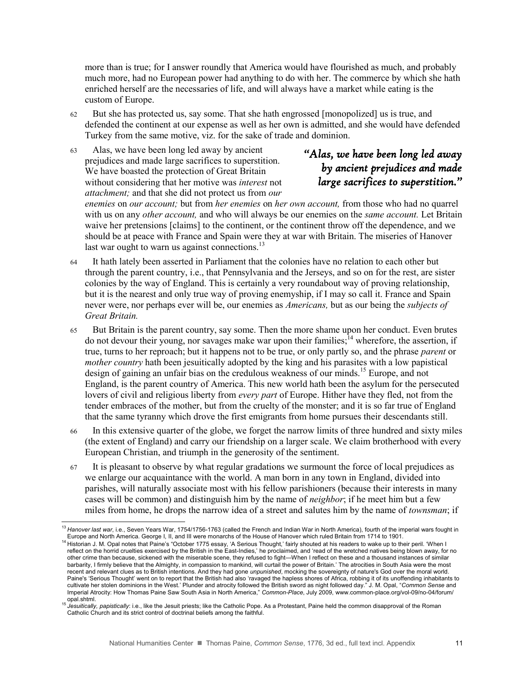more than is true; for I answer roundly that America would have flourished as much, and probably much more, had no European power had anything to do with her. The commerce by which she hath enriched herself are the necessaries of life, and will always have a market while eating is the custom of Europe.

62 But she has protected us, say some. That she hath engrossed [monopolized] us is true, and defended the continent at our expense as well as her own is admitted, and she would have defended Turkey from the same motive, viz. for the sake of trade and dominion.

63 Alas, we have been long led away by ancient prejudices and made large sacrifices to superstition. We have boasted the protection of Great Britain without considering that her motive was *interest* not *attachment;* and that she did not protect us from *our* 

#### *"Alas, we have been long led away by ancient prejudices and made large sacrifices to superstition."*

*enemies* on *our account;* but from *her enemies* on *her own account,* from those who had no quarrel with us on any *other account,* and who will always be our enemies on the *same account.* Let Britain waive her pretensions [claims] to the continent, or the continent throw off the dependence, and we should be at peace with France and Spain were they at war with Britain. The miseries of Hanover last war ought to warn us against connections.<sup>13</sup>

- 64 It hath lately been asserted in Parliament that the colonies have no relation to each other but through the parent country, i.e., that Pennsylvania and the Jerseys, and so on for the rest, are sister colonies by the way of England. This is certainly a very roundabout way of proving relationship, but it is the nearest and only true way of proving enemyship, if I may so call it. France and Spain never were, nor perhaps ever will be, our enemies as *Americans,* but as our being the *subjects of Great Britain.*
- 65 But Britain is the parent country, say some. Then the more shame upon her conduct. Even brutes do not devour their young, nor savages make war upon their families;  $14$  wherefore, the assertion, if true, turns to her reproach; but it happens not to be true, or only partly so, and the phrase *parent* or *mother country* hath been jesuitically adopted by the king and his parasites with a low papistical design of gaining an unfair bias on the credulous weakness of our minds.<sup>15</sup> Europe, and not England, is the parent country of America. This new world hath been the asylum for the persecuted lovers of civil and religious liberty from *every part* of Europe. Hither have they fled, not from the tender embraces of the mother, but from the cruelty of the monster; and it is so far true of England that the same tyranny which drove the first emigrants from home pursues their descendants still.
- 66 In this extensive quarter of the globe, we forget the narrow limits of three hundred and sixty miles (the extent of England) and carry our friendship on a larger scale. We claim brotherhood with every European Christian, and triumph in the generosity of the sentiment.
- 67 It is pleasant to observe by what regular gradations we surmount the force of local prejudices as we enlarge our acquaintance with the world. A man born in any town in England, divided into parishes, will naturally associate most with his fellow parishioners (because their interests in many cases will be common) and distinguish him by the name of *neighbor*; if he meet him but a few miles from home, he drops the narrow idea of a street and salutes him by the name of *townsman*; if

 $\overline{a}$ <sup>13</sup> Hanover last war, i.e., Seven Years War, 1754/1756-1763 (called the French and Indian War in North America), fourth of the imperial wars fought in Europe and North America. George I, II, and III were monarchs of the House of Hanover which ruled Britain from 1714 to 1901.

<sup>&</sup>lt;sup>14</sup> Historian J. M. Opal notes that Paine's "October 1775 essay, 'A Serious Thought,' fairly shouted at his readers to wake up to their peril. 'When I reflect on the horrid cruelties exercised by the British in the East-Indies,' he proclaimed, and 'read of the wretched natives being blown away, for no other crime than because, sickened with the miserable scene, they refused to fight—When I reflect on these and a thousand instances of similar barbarity, I firmly believe that the Almighty, in compassion to mankind, will curtail the power of Britain.' The atrocities in South Asia were the most recent and relevant clues as to British intentions. And they had gone *unpunished*, mocking the sovereignty of nature's God over the moral world. Paine's 'Serious Thought' went on to report that the British had also 'ravaged the hapless shores of Africa, robbing it of its unoffending inhabitants to cultivate her stolen dominions in the West.' Plunder and atrocity followed the British sword as night followed day." J. M. Opal, "*Common Sense* and Imperial Atrocity: How Thomas Paine Saw South Asia in North America," *Common-Place*, July 2009, www.common-place.org/vol-09/no-04/forum/

opal.shtml.<br><sup>15</sup> *Jesuitically, papistically*: i.e., like the Jesuit priests; like the Catholic Pope. As a Protestant, Paine held the common disapproval of the Roman Catholic Church and its strict control of doctrinal beliefs among the faithful.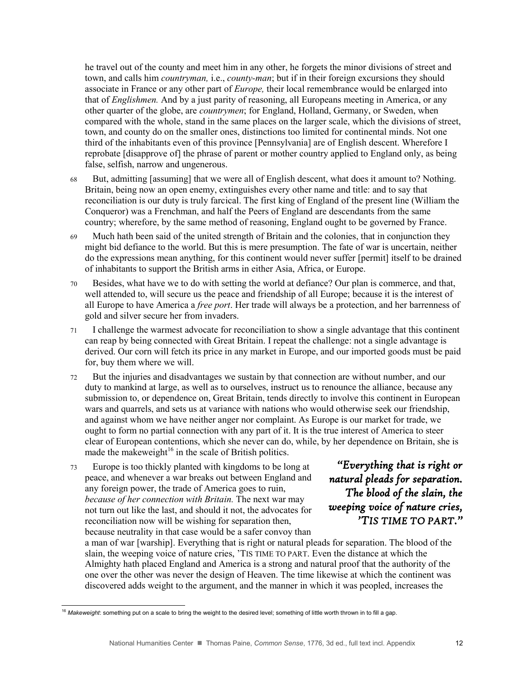he travel out of the county and meet him in any other, he forgets the minor divisions of street and town, and calls him *countryman,* i.e., *county-man*; but if in their foreign excursions they should associate in France or any other part of *Europe,* their local remembrance would be enlarged into that of *Englishmen.* And by a just parity of reasoning, all Europeans meeting in America, or any other quarter of the globe, are *countrymen*; for England, Holland, Germany, or Sweden, when compared with the whole, stand in the same places on the larger scale, which the divisions of street, town, and county do on the smaller ones, distinctions too limited for continental minds. Not one third of the inhabitants even of this province [Pennsylvania] are of English descent. Wherefore I reprobate [disapprove of] the phrase of parent or mother country applied to England only, as being false, selfish, narrow and ungenerous.

- 68 But, admitting [assuming] that we were all of English descent, what does it amount to? Nothing. Britain, being now an open enemy, extinguishes every other name and title: and to say that reconciliation is our duty is truly farcical. The first king of England of the present line (William the Conqueror) was a Frenchman, and half the Peers of England are descendants from the same country; wherefore, by the same method of reasoning, England ought to be governed by France.
- 69 Much hath been said of the united strength of Britain and the colonies, that in conjunction they might bid defiance to the world. But this is mere presumption. The fate of war is uncertain, neither do the expressions mean anything, for this continent would never suffer [permit] itself to be drained of inhabitants to support the British arms in either Asia, Africa, or Europe.
- 70 Besides, what have we to do with setting the world at defiance? Our plan is commerce, and that, well attended to, will secure us the peace and friendship of all Europe; because it is the interest of all Europe to have America a *free port*. Her trade will always be a protection, and her barrenness of gold and silver secure her from invaders.
- 71 I challenge the warmest advocate for reconciliation to show a single advantage that this continent can reap by being connected with Great Britain. I repeat the challenge: not a single advantage is derived. Our corn will fetch its price in any market in Europe, and our imported goods must be paid for, buy them where we will.
- 72 But the injuries and disadvantages we sustain by that connection are without number, and our duty to mankind at large, as well as to ourselves, instruct us to renounce the alliance, because any submission to, or dependence on, Great Britain, tends directly to involve this continent in European wars and quarrels, and sets us at variance with nations who would otherwise seek our friendship, and against whom we have neither anger nor complaint. As Europe is our market for trade, we ought to form no partial connection with any part of it. It is the true interest of America to steer clear of European contentions, which she never can do, while, by her dependence on Britain, she is made the makeweight<sup>16</sup> in the scale of British politics.
- 73 Europe is too thickly planted with kingdoms to be long at peace, and whenever a war breaks out between England and any foreign power, the trade of America goes to ruin, *because of her connection with Britain.* The next war may not turn out like the last, and should it not, the advocates for reconciliation now will be wishing for separation then, because neutrality in that case would be a safer convoy than

 $\overline{a}$ 

*"Everything that is right or natural pleads for separation. The blood of the slain, the weeping voice of nature cries, 'TIS TIME TO PART."* 

a man of war [warship]. Everything that is right or natural pleads for separation. The blood of the slain, the weeping voice of nature cries, 'TIS TIME TO PART. Even the distance at which the Almighty hath placed England and America is a strong and natural proof that the authority of the one over the other was never the design of Heaven. The time likewise at which the continent was discovered adds weight to the argument, and the manner in which it was peopled, increases the

<sup>16</sup> *Makeweight*: something put on a scale to bring the weight to the desired level; something of little worth thrown in to fill a gap.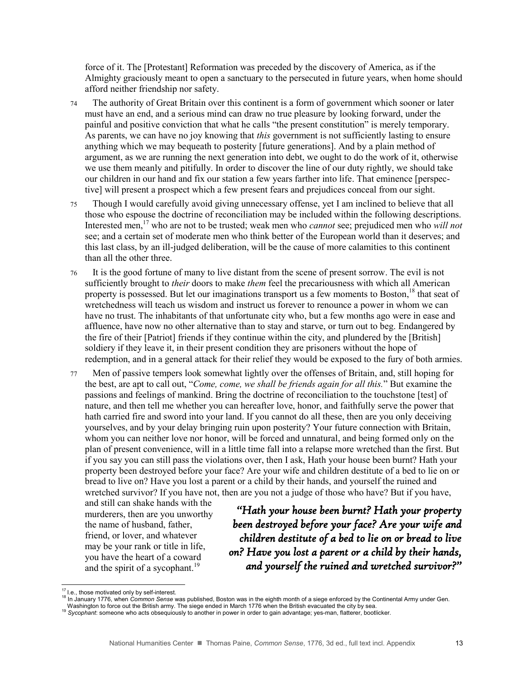force of it. The [Protestant] Reformation was preceded by the discovery of America, as if the Almighty graciously meant to open a sanctuary to the persecuted in future years, when home should afford neither friendship nor safety.

- 74 The authority of Great Britain over this continent is a form of government which sooner or later must have an end, and a serious mind can draw no true pleasure by looking forward, under the painful and positive conviction that what he calls "the present constitution" is merely temporary. As parents, we can have no joy knowing that *this* government is not sufficiently lasting to ensure anything which we may bequeath to posterity [future generations]. And by a plain method of argument, as we are running the next generation into debt, we ought to do the work of it, otherwise we use them meanly and pitifully. In order to discover the line of our duty rightly, we should take our children in our hand and fix our station a few years farther into life. That eminence [perspective] will present a prospect which a few present fears and prejudices conceal from our sight.
- 75 Though I would carefully avoid giving unnecessary offense, yet I am inclined to believe that all those who espouse the doctrine of reconciliation may be included within the following descriptions. Interested men,<sup>17</sup> who are not to be trusted; weak men who *cannot* see; prejudiced men who *will not* see; and a certain set of moderate men who think better of the European world than it deserves; and this last class, by an ill-judged deliberation, will be the cause of more calamities to this continent than all the other three.
- 76 It is the good fortune of many to live distant from the scene of present sorrow. The evil is not sufficiently brought to *their* doors to make *them* feel the precariousness with which all American property is possessed. But let our imaginations transport us a few moments to Boston,<sup>18</sup> that seat of wretchedness will teach us wisdom and instruct us forever to renounce a power in whom we can have no trust. The inhabitants of that unfortunate city who, but a few months ago were in ease and affluence, have now no other alternative than to stay and starve, or turn out to beg. Endangered by the fire of their [Patriot] friends if they continue within the city, and plundered by the [British] soldiery if they leave it, in their present condition they are prisoners without the hope of redemption, and in a general attack for their relief they would be exposed to the fury of both armies.
- 77 Men of passive tempers look somewhat lightly over the offenses of Britain, and, still hoping for the best, are apt to call out, "*Come, come, we shall be friends again for all this.*" But examine the passions and feelings of mankind. Bring the doctrine of reconciliation to the touchstone [test] of nature, and then tell me whether you can hereafter love, honor, and faithfully serve the power that hath carried fire and sword into your land. If you cannot do all these, then are you only deceiving yourselves, and by your delay bringing ruin upon posterity? Your future connection with Britain, whom you can neither love nor honor, will be forced and unnatural, and being formed only on the plan of present convenience, will in a little time fall into a relapse more wretched than the first. But if you say you can still pass the violations over, then I ask, Hath your house been burnt? Hath your property been destroyed before your face? Are your wife and children destitute of a bed to lie on or bread to live on? Have you lost a parent or a child by their hands, and yourself the ruined and wretched survivor? If you have not, then are you not a judge of those who have? But if you have,

and still can shake hands with the murderers, then are you unworthy the name of husband, father, friend, or lover, and whatever may be your rank or title in life, you have the heart of a coward and the spirit of a sycophant.<sup>19</sup>

*"Hath your house been burnt? Hath your property been destroyed before your face? Are your wife and children destitute of a bed to lie on or bread to live on? Have you lost a parent or a child by their hands, and yourself the ruined and wretched survivor?"* 

 $17$  I.e., those motivated only by self-interest.

<sup>18</sup> In January 1776, when *Common Sense* was published, Boston was in the eighth month of a siege enforced by the Continental Army under Gen.

Washington to force out the British army. The siege ended in March 1776 when the British evacuated the city by sea.<br><sup>19</sup> Sycophant: someone who acts obsequiously to another in power in order to gain advantage; yes-man, fla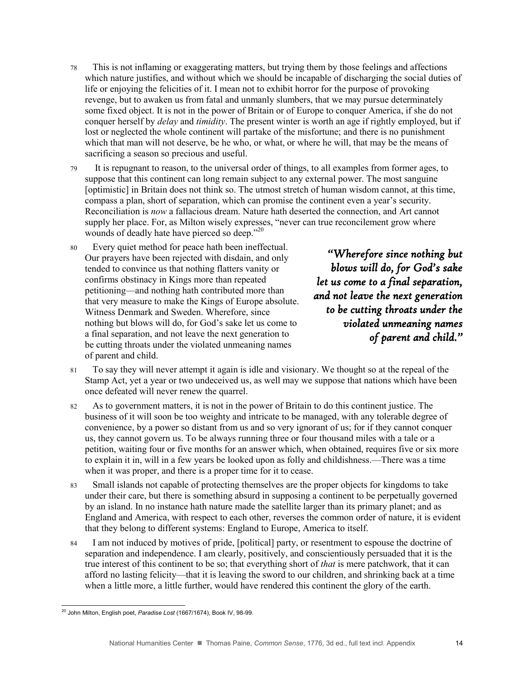- 78 This is not inflaming or exaggerating matters, but trying them by those feelings and affections which nature justifies, and without which we should be incapable of discharging the social duties of life or enjoying the felicities of it. I mean not to exhibit horror for the purpose of provoking revenge, but to awaken us from fatal and unmanly slumbers, that we may pursue determinately some fixed object. It is not in the power of Britain or of Europe to conquer America, if she do not conquer herself by *delay* and *timidity*. The present winter is worth an age if rightly employed, but if lost or neglected the whole continent will partake of the misfortune; and there is no punishment which that man will not deserve, be he who, or what, or where he will, that may be the means of sacrificing a season so precious and useful.
- 79 It is repugnant to reason, to the universal order of things, to all examples from former ages, to suppose that this continent can long remain subject to any external power. The most sanguine [optimistic] in Britain does not think so. The utmost stretch of human wisdom cannot, at this time, compass a plan, short of separation, which can promise the continent even a year's security. Reconciliation is *now* a fallacious dream. Nature hath deserted the connection, and Art cannot supply her place. For, as Milton wisely expresses, "never can true reconcilement grow where wounds of deadly hate have pierced so deep."<sup>20</sup>
- 80 Every quiet method for peace hath been ineffectual. Our prayers have been rejected with disdain, and only tended to convince us that nothing flatters vanity or confirms obstinacy in Kings more than repeated petitioning—and nothing hath contributed more than that very measure to make the Kings of Europe absolute. Witness Denmark and Sweden. Wherefore, since nothing but blows will do, for God's sake let us come to a final separation, and not leave the next generation to be cutting throats under the violated unmeaning names of parent and child.

*"Wherefore since nothing but blows will do, for God's sake let us come to a final separation, and not leave the next generation to be cutting throats under the violated unmeaning names of parent and child."* 

- 81 To say they will never attempt it again is idle and visionary. We thought so at the repeal of the Stamp Act, yet a year or two undeceived us, as well may we suppose that nations which have been once defeated will never renew the quarrel.
- 82 As to government matters, it is not in the power of Britain to do this continent justice. The business of it will soon be too weighty and intricate to be managed, with any tolerable degree of convenience, by a power so distant from us and so very ignorant of us; for if they cannot conquer us, they cannot govern us. To be always running three or four thousand miles with a tale or a petition, waiting four or five months for an answer which, when obtained, requires five or six more to explain it in, will in a few years be looked upon as folly and childishness.—There was a time when it was proper, and there is a proper time for it to cease.
- 83 Small islands not capable of protecting themselves are the proper objects for kingdoms to take under their care, but there is something absurd in supposing a continent to be perpetually governed by an island. In no instance hath nature made the satellite larger than its primary planet; and as England and America, with respect to each other, reverses the common order of nature, it is evident that they belong to different systems: England to Europe, America to itself.
- 84 I am not induced by motives of pride, [political] party, or resentment to espouse the doctrine of separation and independence. I am clearly, positively, and conscientiously persuaded that it is the true interest of this continent to be so; that everything short of *that* is mere patchwork, that it can afford no lasting felicity—that it is leaving the sword to our children, and shrinking back at a time when a little more, a little further, would have rendered this continent the glory of the earth.

 $\overline{a}$ <sup>20</sup> John Milton, English poet, *Paradise Lost* (1667/1674), Book IV, 98-99.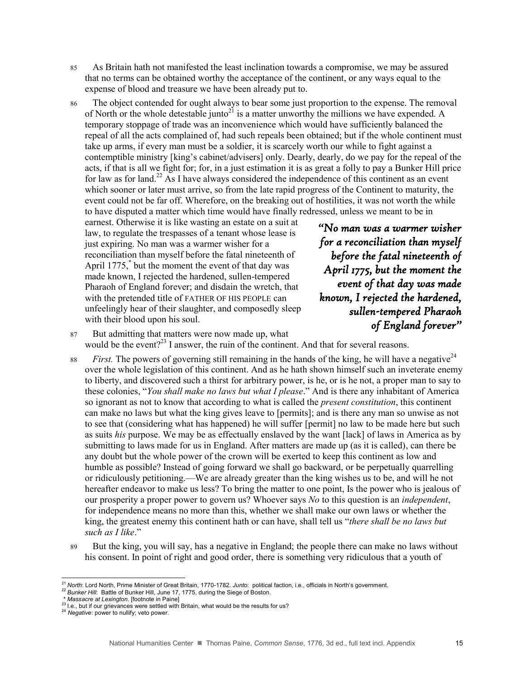- 85 As Britain hath not manifested the least inclination towards a compromise, we may be assured that no terms can be obtained worthy the acceptance of the continent, or any ways equal to the expense of blood and treasure we have been already put to.
- 86 The object contended for ought always to bear some just proportion to the expense. The removal of North or the whole detestable junto<sup>21</sup> is a matter unworthy the millions we have expended. A temporary stoppage of trade was an inconvenience which would have sufficiently balanced the repeal of all the acts complained of, had such repeals been obtained; but if the whole continent must take up arms, if every man must be a soldier, it is scarcely worth our while to fight against a contemptible ministry [king's cabinet/advisers] only. Dearly, dearly, do we pay for the repeal of the acts, if that is all we fight for; for, in a just estimation it is as great a folly to pay a Bunker Hill price for law as for land.<sup>22</sup> As I have always considered the independence of this continent as an event which sooner or later must arrive, so from the late rapid progress of the Continent to maturity, the event could not be far off. Wherefore, on the breaking out of hostilities, it was not worth the while to have disputed a matter which time would have finally redressed, unless we meant to be in

earnest. Otherwise it is like wasting an estate on a suit at law, to regulate the trespasses of a tenant whose lease is just expiring. No man was a warmer wisher for a reconciliation than myself before the fatal nineteenth of April 1775,\* but the moment the event of that day was made known, I rejected the hardened, sullen-tempered Pharaoh of England forever; and disdain the wretch, that with the pretended title of FATHER OF HIS PEOPLE can unfeelingly hear of their slaughter, and composedly sleep with their blood upon his soul.

*"No man was a warmer wisher for a reconciliation than myself before the fatal nineteenth of April 1775, but the moment the event of that day was made known, I rejected the hardened, sullen-tempered Pharaoh of England forever"* 

- 87 But admitting that matters were now made up, what would be the event?<sup>23</sup> I answer, the ruin of the continent. And that for several reasons.
- 88 *First.* The powers of governing still remaining in the hands of the king, he will have a negative  $24$ over the whole legislation of this continent. And as he hath shown himself such an inveterate enemy to liberty, and discovered such a thirst for arbitrary power, is he, or is he not, a proper man to say to these colonies, "*You shall make no laws but what I please*." And is there any inhabitant of America so ignorant as not to know that according to what is called the *present constitution*, this continent can make no laws but what the king gives leave to [permits]; and is there any man so unwise as not to see that (considering what has happened) he will suffer [permit] no law to be made here but such as suits *his* purpose. We may be as effectually enslaved by the want [lack] of laws in America as by submitting to laws made for us in England. After matters are made up (as it is called), can there be any doubt but the whole power of the crown will be exerted to keep this continent as low and humble as possible? Instead of going forward we shall go backward, or be perpetually quarrelling or ridiculously petitioning.—We are already greater than the king wishes us to be, and will he not hereafter endeavor to make us less? To bring the matter to one point, Is the power who is jealous of our prosperity a proper power to govern us? Whoever says *No* to this question is an *independent*, for independence means no more than this, whether we shall make our own laws or whether the king, the greatest enemy this continent hath or can have, shall tell us "*there shall be no laws but such as I like*."
- 89 But the king, you will say, has a negative in England; the people there can make no laws without his consent. In point of right and good order, there is something very ridiculous that a youth of

 $\overline{a}$ <sup>21</sup> *North*: Lord North, Prime Minister of Great Britain, 1770-1782. *Junto*: political faction, i.e., officials in North's government.

<sup>22</sup> *Bunker Hill*: Battle of Bunker Hill, June 17, 1775, during the Siege of Boston.

<sup>\*</sup> *Massacre at Lexington*. [footnote in Paine]

<sup>&</sup>lt;sup>23</sup> I.e., but if our grievances were settled with Britain, what would be the results for us?

<sup>24</sup> *Negative*: power to nullify; veto power.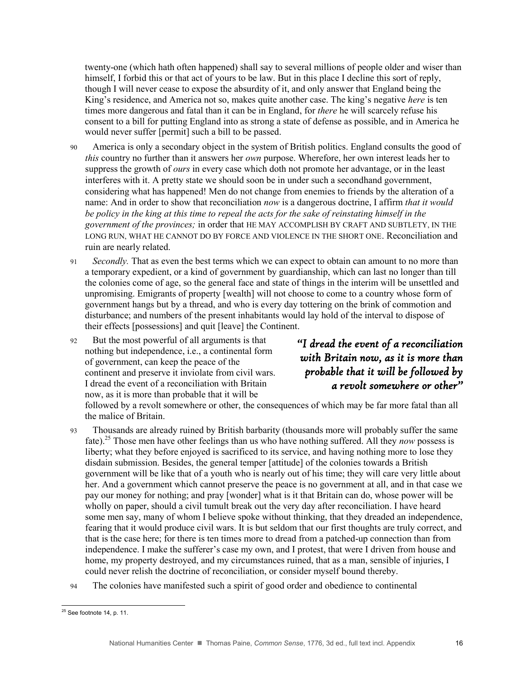twenty-one (which hath often happened) shall say to several millions of people older and wiser than himself, I forbid this or that act of yours to be law. But in this place I decline this sort of reply, though I will never cease to expose the absurdity of it, and only answer that England being the King's residence, and America not so, makes quite another case. The king's negative *here* is ten times more dangerous and fatal than it can be in England, for *there* he will scarcely refuse his consent to a bill for putting England into as strong a state of defense as possible, and in America he would never suffer [permit] such a bill to be passed.

- 90 America is only a secondary object in the system of British politics. England consults the good of *this* country no further than it answers her *own* purpose. Wherefore, her own interest leads her to suppress the growth of *ours* in every case which doth not promote her advantage, or in the least interferes with it. A pretty state we should soon be in under such a secondhand government, considering what has happened! Men do not change from enemies to friends by the alteration of a name: And in order to show that reconciliation *now* is a dangerous doctrine, I affirm *that it would be policy in the king at this time to repeal the acts for the sake of reinstating himself in the government of the provinces;* in order that HE MAY ACCOMPLISH BY CRAFT AND SUBTLETY, IN THE LONG RUN, WHAT HE CANNOT DO BY FORCE AND VIOLENCE IN THE SHORT ONE. Reconciliation and ruin are nearly related.
- 91 *Secondly.* That as even the best terms which we can expect to obtain can amount to no more than a temporary expedient, or a kind of government by guardianship, which can last no longer than till the colonies come of age, so the general face and state of things in the interim will be unsettled and unpromising. Emigrants of property [wealth] will not choose to come to a country whose form of government hangs but by a thread, and who is every day tottering on the brink of commotion and disturbance; and numbers of the present inhabitants would lay hold of the interval to dispose of their effects [possessions] and quit [leave] the Continent.
- 92 But the most powerful of all arguments is that nothing but independence, i.e., a continental form of government, can keep the peace of the continent and preserve it inviolate from civil wars. I dread the event of a reconciliation with Britain now, as it is more than probable that it will be

*"I dread the event of a reconciliation with Britain now, as it is more than probable that it will be followed by a revolt somewhere or other"* 

followed by a revolt somewhere or other, the consequences of which may be far more fatal than all the malice of Britain.

- 93 Thousands are already ruined by British barbarity (thousands more will probably suffer the same fate). <sup>25</sup> Those men have other feelings than us who have nothing suffered. All they *now* possess is liberty; what they before enjoyed is sacrificed to its service, and having nothing more to lose they disdain submission. Besides, the general temper [attitude] of the colonies towards a British government will be like that of a youth who is nearly out of his time; they will care very little about her. And a government which cannot preserve the peace is no government at all, and in that case we pay our money for nothing; and pray [wonder] what is it that Britain can do, whose power will be wholly on paper, should a civil tumult break out the very day after reconciliation. I have heard some men say, many of whom I believe spoke without thinking, that they dreaded an independence, fearing that it would produce civil wars. It is but seldom that our first thoughts are truly correct, and that is the case here; for there is ten times more to dread from a patched-up connection than from independence. I make the sufferer's case my own, and I protest, that were I driven from house and home, my property destroyed, and my circumstances ruined, that as a man, sensible of injuries, I could never relish the doctrine of reconciliation, or consider myself bound thereby.
- 94 The colonies have manifested such a spirit of good order and obedience to continental

 $\overline{a}$  $25$  See footnote 14, p. 11.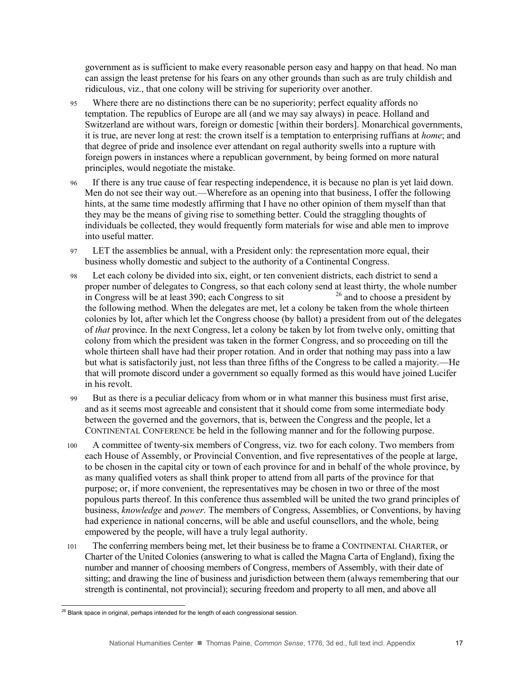government as is sufficient to make every reasonable person easy and happy on that head. No man can assign the least pretense for his fears on any other grounds than such as are truly childish and ridiculous, viz., that one colony will be striving for superiority over another.

- 95 Where there are no distinctions there can be no superiority; perfect equality affords no temptation. The republics of Europe are all (and we may say always) in peace. Holland and Switzerland are without wars, foreign or domestic [within their borders]. Monarchical governments, it is true, are never long at rest: the crown itself is a temptation to enterprising ruffians at *home*; and that degree of pride and insolence ever attendant on regal authority swells into a rupture with foreign powers in instances where a republican government, by being formed on more natural principles, would negotiate the mistake.
- 96 If there is any true cause of fear respecting independence, it is because no plan is yet laid down. Men do not see their way out.—Wherefore as an opening into that business, I offer the following hints, at the same time modestly affirming that I have no other opinion of them myself than that they may be the means of giving rise to something better. Could the straggling thoughts of individuals be collected, they would frequently form materials for wise and able men to improve into useful matter.
- 97 LET the assemblies be annual, with a President only: the representation more equal, their business wholly domestic and subject to the authority of a Continental Congress.
- 98 Let each colony be divided into six, eight, or ten convenient districts, each district to send a proper number of delegates to Congress, so that each colony send at least thirty, the whole number in Congress will be at least 390; each Congress to sit  $^{26}$  and to choose a president by the following method. When the delegates are met, let a colony be taken from the whole thirteen colonies by lot, after which let the Congress choose (by ballot) a president from out of the delegates of *that* province. In the next Congress, let a colony be taken by lot from twelve only, omitting that colony from which the president was taken in the former Congress, and so proceeding on till the whole thirteen shall have had their proper rotation. And in order that nothing may pass into a law but what is satisfactorily just, not less than three fifths of the Congress to be called a majority.—He that will promote discord under a government so equally formed as this would have joined Lucifer in his revolt.
- 99 But as there is a peculiar delicacy from whom or in what manner this business must first arise, and as it seems most agreeable and consistent that it should come from some intermediate body between the governed and the governors, that is, between the Congress and the people, let a CONTINENTAL CONFERENCE be held in the following manner and for the following purpose.
- 100 A committee of twenty-six members of Congress, viz. two for each colony. Two members from each House of Assembly, or Provincial Convention, and five representatives of the people at large, to be chosen in the capital city or town of each province for and in behalf of the whole province, by as many qualified voters as shall think proper to attend from all parts of the province for that purpose; or, if more convenient, the representatives may be chosen in two or three of the most populous parts thereof. In this conference thus assembled will be united the two grand principles of business, *knowledge* and *power.* The members of Congress, Assemblies, or Conventions, by having had experience in national concerns, will be able and useful counsellors, and the whole, being empowered by the people, will have a truly legal authority.
- 101 The conferring members being met, let their business be to frame a CONTINENTAL CHARTER, or Charter of the United Colonies (answering to what is called the Magna Carta of England), fixing the number and manner of choosing members of Congress, members of Assembly, with their date of sitting; and drawing the line of business and jurisdiction between them (always remembering that our strength is continental, not provincial); securing freedom and property to all men, and above all

 $\overline{a}$  $^{26}$  Blank space in original, perhaps intended for the length of each congressional session.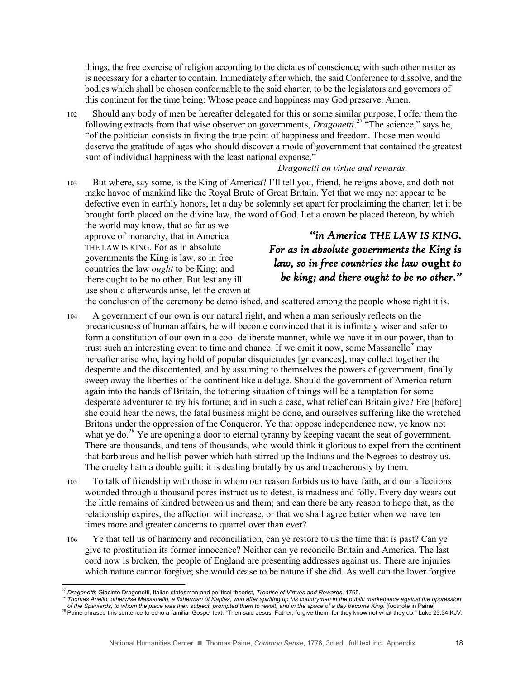things, the free exercise of religion according to the dictates of conscience; with such other matter as is necessary for a charter to contain. Immediately after which, the said Conference to dissolve, and the bodies which shall be chosen conformable to the said charter, to be the legislators and governors of this continent for the time being: Whose peace and happiness may God preserve. Amen.

102 Should any body of men be hereafter delegated for this or some similar purpose, I offer them the following extracts from that wise observer on governments, *Dragonetti*.<sup>27</sup> "The science," says he, "of the politician consists in fixing the true point of happiness and freedom. Those men would deserve the gratitude of ages who should discover a mode of government that contained the greatest sum of individual happiness with the least national expense."

#### *Dragonetti on virtue and rewards.*

103 But where, say some, is the King of America? I'll tell you, friend, he reigns above, and doth not make havoc of mankind like the Royal Brute of Great Britain. Yet that we may not appear to be defective even in earthly honors, let a day be solemnly set apart for proclaiming the charter; let it be brought forth placed on the divine law, the word of God. Let a crown be placed thereon, by which

the world may know, that so far as we approve of monarchy, that in America THE LAW IS KING. For as in absolute governments the King is law, so in free countries the law *ought* to be King; and there ought to be no other. But lest any ill use should afterwards arise, let the crown at

#### *"in America THE LAW IS KING. For as in absolute governments the King is law, so in free countries the law* ought *to be king; and there ought to be no other."*

the conclusion of the ceremony be demolished, and scattered among the people whose right it is.

- 104 A government of our own is our natural right, and when a man seriously reflects on the precariousness of human affairs, he will become convinced that it is infinitely wiser and safer to form a constitution of our own in a cool deliberate manner, while we have it in our power, than to trust such an interesting event to time and chance. If we omit it now, some Massanello\* may hereafter arise who, laying hold of popular disquietudes [grievances], may collect together the desperate and the discontented, and by assuming to themselves the powers of government, finally sweep away the liberties of the continent like a deluge. Should the government of America return again into the hands of Britain, the tottering situation of things will be a temptation for some desperate adventurer to try his fortune; and in such a case, what relief can Britain give? Ere [before] she could hear the news, the fatal business might be done, and ourselves suffering like the wretched Britons under the oppression of the Conqueror. Ye that oppose independence now, ye know not what ye do.<sup>28</sup> Ye are opening a door to eternal tyranny by keeping vacant the seat of government. There are thousands, and tens of thousands, who would think it glorious to expel from the continent that barbarous and hellish power which hath stirred up the Indians and the Negroes to destroy us. The cruelty hath a double guilt: it is dealing brutally by us and treacherously by them.
- 105 To talk of friendship with those in whom our reason forbids us to have faith, and our affections wounded through a thousand pores instruct us to detest, is madness and folly. Every day wears out the little remains of kindred between us and them; and can there be any reason to hope that, as the relationship expires, the affection will increase, or that we shall agree better when we have ten times more and greater concerns to quarrel over than ever?
- 106 Ye that tell us of harmony and reconciliation, can ye restore to us the time that is past? Can ye give to prostitution its former innocence? Neither can ye reconcile Britain and America. The last cord now is broken, the people of England are presenting addresses against us. There are injuries which nature cannot forgive; she would cease to be nature if she did. As well can the lover forgive

<sup>27</sup> *Dragonetti*: Giacinto Dragonetti, Italian statesman and political theorist, *Treatise of Virtues and Rewards*, 1765.

<sup>\*</sup> *Thomas Anello, otherwise Massanello, a fisherman of Naples, who after spiriting up his countrymen in the public marketplace against the oppression* 

*of the Spaniards, to whom the place was then subject, prompted them to revolt, and in the space of a day become King.* [footnote in Paine] 28 Paine spaniarus, to whom the place was then subject, prompted them; is received them; for the sentence to echo a familiar Gospel text: "Then said Jesus, Father, forgive them; for they know not what they do." Luke 23:34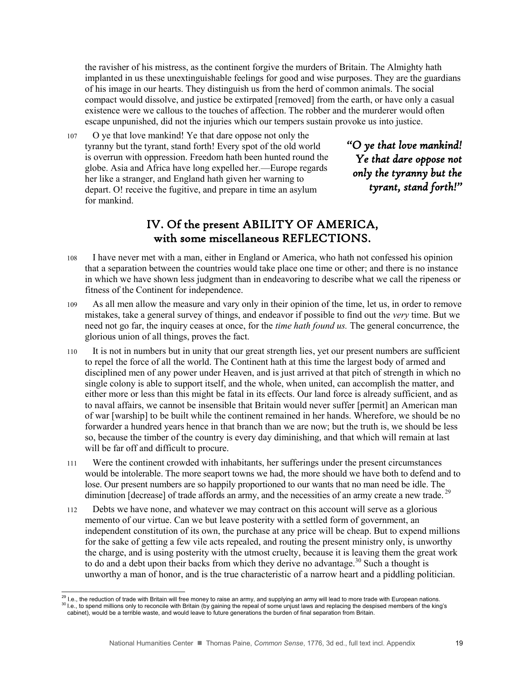the ravisher of his mistress, as the continent forgive the murders of Britain. The Almighty hath implanted in us these unextinguishable feelings for good and wise purposes. They are the guardians of his image in our hearts. They distinguish us from the herd of common animals. The social compact would dissolve, and justice be extirpated [removed] from the earth, or have only a casual existence were we callous to the touches of affection. The robber and the murderer would often escape unpunished, did not the injuries which our tempers sustain provoke us into justice.

107 O ye that love mankind! Ye that dare oppose not only the tyranny but the tyrant, stand forth! Every spot of the old world is overrun with oppression. Freedom hath been hunted round the globe. Asia and Africa have long expelled her.—Europe regards her like a stranger, and England hath given her warning to depart. O! receive the fugitive, and prepare in time an asylum for mankind.

*"O ye that love mankind! Ye that dare oppose not only the tyranny but the tyrant, stand forth!"* 

#### IV. Of the present ABILITY OF AMERICA, with some miscellaneous REFLECTIONS.

- 108 I have never met with a man, either in England or America, who hath not confessed his opinion that a separation between the countries would take place one time or other; and there is no instance in which we have shown less judgment than in endeavoring to describe what we call the ripeness or fitness of the Continent for independence.
- 109 As all men allow the measure and vary only in their opinion of the time, let us, in order to remove mistakes, take a general survey of things, and endeavor if possible to find out the *very* time. But we need not go far, the inquiry ceases at once, for the *time hath found us.* The general concurrence, the glorious union of all things, proves the fact.
- 110 It is not in numbers but in unity that our great strength lies, yet our present numbers are sufficient to repel the force of all the world. The Continent hath at this time the largest body of armed and disciplined men of any power under Heaven, and is just arrived at that pitch of strength in which no single colony is able to support itself, and the whole, when united, can accomplish the matter, and either more or less than this might be fatal in its effects. Our land force is already sufficient, and as to naval affairs, we cannot be insensible that Britain would never suffer [permit] an American man of war [warship] to be built while the continent remained in her hands. Wherefore, we should be no forwarder a hundred years hence in that branch than we are now; but the truth is, we should be less so, because the timber of the country is every day diminishing, and that which will remain at last will be far off and difficult to procure.
- 111 Were the continent crowded with inhabitants, her sufferings under the present circumstances would be intolerable. The more seaport towns we had, the more should we have both to defend and to lose. Our present numbers are so happily proportioned to our wants that no man need be idle. The diminution [decrease] of trade affords an army, and the necessities of an army create a new trade.<sup>29</sup>
- 112 Debts we have none, and whatever we may contract on this account will serve as a glorious memento of our virtue. Can we but leave posterity with a settled form of government, an independent constitution of its own, the purchase at any price will be cheap. But to expend millions for the sake of getting a few vile acts repealed, and routing the present ministry only, is unworthy the charge, and is using posterity with the utmost cruelty, because it is leaving them the great work to do and a debt upon their backs from which they derive no advantage.<sup>30</sup> Such a thought is unworthy a man of honor, and is the true characteristic of a narrow heart and a piddling politician.

 $\overline{a}$ 

 $^{29}$  I.e., the reduction of trade with Britain will free money to raise an army, and supplying an army will lead to more trade with European nations. <sup>30</sup> I.e., to spend millions only to reconcile with Britain (by gaining the repeal of some unjust laws and replacing the despised members of the king's cabinet), would be a terrible waste, and would leave to future generations the burden of final separation from Britain.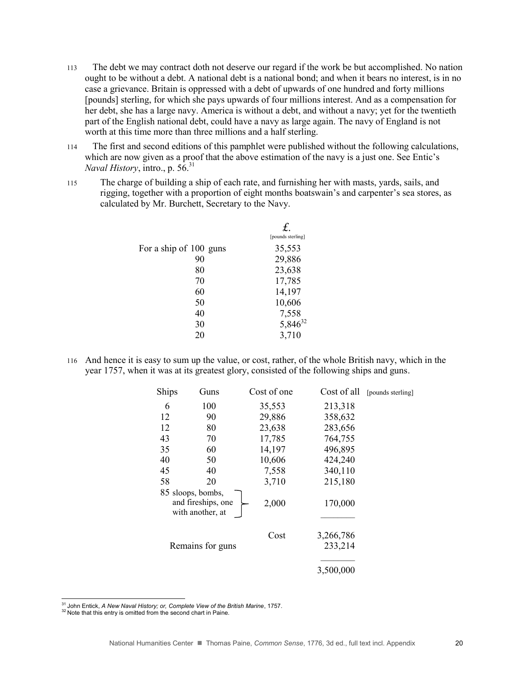- 113 The debt we may contract doth not deserve our regard if the work be but accomplished. No nation ought to be without a debt. A national debt is a national bond; and when it bears no interest, is in no case a grievance. Britain is oppressed with a debt of upwards of one hundred and forty millions [pounds] sterling, for which she pays upwards of four millions interest. And as a compensation for her debt, she has a large navy. America is without a debt, and without a navy; yet for the twentieth part of the English national debt, could have a navy as large again. The navy of England is not worth at this time more than three millions and a half sterling.
- 114 The first and second editions of this pamphlet were published without the following calculations, which are now given as a proof that the above estimation of the navy is a just one. See Entic's *Naval History*, intro., p. 56.<sup>31</sup>
- 115 The charge of building a ship of each rate, and furnishing her with masts, yards, sails, and rigging, together with a proportion of eight months boatswain's and carpenter's sea stores, as calculated by Mr. Burchett, Secretary to the Navy.

|                        | [pounds sterling] |
|------------------------|-------------------|
| For a ship of 100 guns | 35,553            |
| 90                     | 29,886            |
| 80                     | 23,638            |
| 70                     | 17,785            |
| 60                     | 14,197            |
| 50                     | 10,606            |
| 40                     | 7,558             |
| 30                     | $5,846^{32}$      |
| 20                     | 3,710             |
|                        |                   |

116 And hence it is easy to sum up the value, or cost, rather, of the whole British navy, which in the year 1757, when it was at its greatest glory, consisted of the following ships and guns.

| Ships | Guns                                                        | Cost of one | Cost of all          | [pounds sterling] |
|-------|-------------------------------------------------------------|-------------|----------------------|-------------------|
| 6     | 100                                                         | 35,553      | 213,318              |                   |
| 12    | 90                                                          | 29,886      | 358,632              |                   |
| 12    | 80                                                          | 23,638      | 283,656              |                   |
| 43    | 70                                                          | 17,785      | 764,755              |                   |
| 35    | 60                                                          | 14,197      | 496,895              |                   |
| 40    | 50                                                          | 10,606      | 424,240              |                   |
| 45    | 40                                                          | 7,558       | 340,110              |                   |
| 58    | 20                                                          | 3,710       | 215,180              |                   |
|       | 85 sloops, bombs,<br>and fireships, one<br>with another, at | 2,000       | 170,000              |                   |
|       | Remains for guns                                            | Cost        | 3,266,786<br>233,214 |                   |
|       |                                                             |             | 3,500,000            |                   |

<sup>31</sup> John Entick, *A New Naval History; or, Complete View of the British Marine*, 1757.

<sup>&</sup>lt;sup>32</sup> Note that this entry is omitted from the second chart in Paine.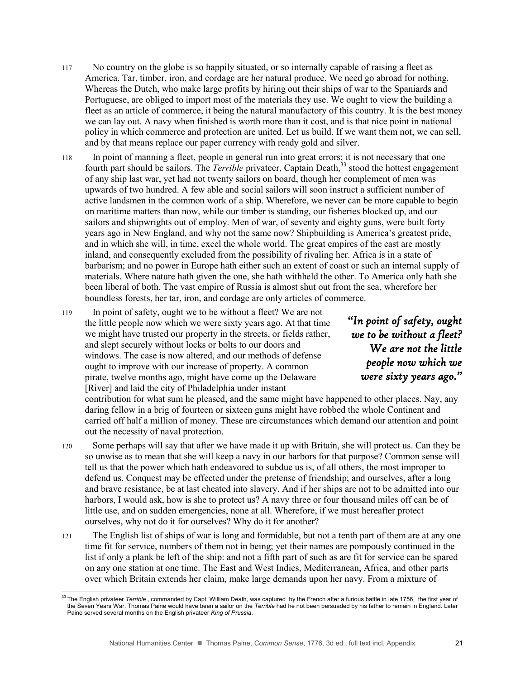- 117 No country on the globe is so happily situated, or so internally capable of raising a fleet as America. Tar, timber, iron, and cordage are her natural produce. We need go abroad for nothing. Whereas the Dutch, who make large profits by hiring out their ships of war to the Spaniards and Portuguese, are obliged to import most of the materials they use. We ought to view the building a fleet as an article of commerce, it being the natural manufactory of this country. It is the best money we can lay out. A navy when finished is worth more than it cost, and is that nice point in national policy in which commerce and protection are united. Let us build. If we want them not, we can sell, and by that means replace our paper currency with ready gold and silver.
- 118 In point of manning a fleet, people in general run into great errors; it is not necessary that one fourth part should be sailors. The *Terrible* privateer, Captain Death,<sup>33</sup> stood the hottest engagement of any ship last war, yet had not twenty sailors on board, though her complement of men was upwards of two hundred. A few able and social sailors will soon instruct a sufficient number of active landsmen in the common work of a ship. Wherefore, we never can be more capable to begin on maritime matters than now, while our timber is standing, our fisheries blocked up, and our sailors and shipwrights out of employ. Men of war, of seventy and eighty guns, were built forty years ago in New England, and why not the same now? Shipbuilding is America's greatest pride, and in which she will, in time, excel the whole world. The great empires of the east are mostly inland, and consequently excluded from the possibility of rivaling her. Africa is in a state of barbarism; and no power in Europe hath either such an extent of coast or such an internal supply of materials. Where nature hath given the one, she hath withheld the other. To America only hath she been liberal of both. The vast empire of Russia is almost shut out from the sea, wherefore her boundless forests, her tar, iron, and cordage are only articles of commerce.
- 119 In point of safety, ought we to be without a fleet? We are not the little people now which we were sixty years ago. At that time we might have trusted our property in the streets, or fields rather, and slept securely without locks or bolts to our doors and windows. The case is now altered, and our methods of defense ought to improve with our increase of property. A common pirate, twelve months ago, might have come up the Delaware [River] and laid the city of Philadelphia under instant

 $\overline{a}$ 

*"In point of safety, ought we to be without a fleet? We are not the little people now which we were sixty years ago."* 

contribution for what sum he pleased, and the same might have happened to other places. Nay, any daring fellow in a brig of fourteen or sixteen guns might have robbed the whole Continent and carried off half a million of money. These are circumstances which demand our attention and point out the necessity of naval protection.

- 120 Some perhaps will say that after we have made it up with Britain, she will protect us. Can they be so unwise as to mean that she will keep a navy in our harbors for that purpose? Common sense will tell us that the power which hath endeavored to subdue us is, of all others, the most improper to defend us. Conquest may be effected under the pretense of friendship; and ourselves, after a long and brave resistance, be at last cheated into slavery. And if her ships are not to be admitted into our harbors, I would ask, how is she to protect us? A navy three or four thousand miles off can be of little use, and on sudden emergencies, none at all. Wherefore, if we must hereafter protect ourselves, why not do it for ourselves? Why do it for another?
- 121 The English list of ships of war is long and formidable, but not a tenth part of them are at any one time fit for service, numbers of them not in being; yet their names are pompously continued in the list if only a plank be left of the ship: and not a fifth part of such as are fit for service can be spared on any one station at one time. The East and West Indies, Mediterranean, Africa, and other parts over which Britain extends her claim, make large demands upon her navy. From a mixture of

<sup>&</sup>lt;sup>33</sup> The English privateer *Terrible*, commanded by Capt. William Death, was captured by the French after a furious battle in late 1756, the first year of the Seven Years War. Thomas Paine would have been a sailor on the *Terrible* had he not been persuaded by his father to remain in England. Later Paine served several months on the English privateer *King of Prussia*.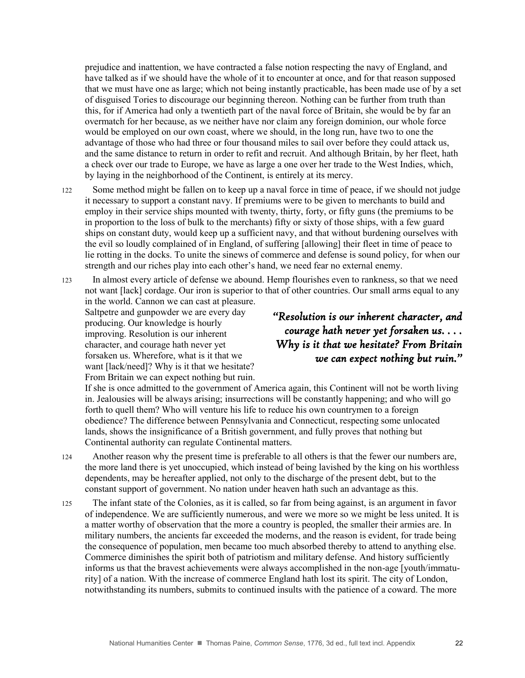prejudice and inattention, we have contracted a false notion respecting the navy of England, and have talked as if we should have the whole of it to encounter at once, and for that reason supposed that we must have one as large; which not being instantly practicable, has been made use of by a set of disguised Tories to discourage our beginning thereon. Nothing can be further from truth than this, for if America had only a twentieth part of the naval force of Britain, she would be by far an overmatch for her because, as we neither have nor claim any foreign dominion, our whole force would be employed on our own coast, where we should, in the long run, have two to one the advantage of those who had three or four thousand miles to sail over before they could attack us, and the same distance to return in order to refit and recruit. And although Britain, by her fleet, hath a check over our trade to Europe, we have as large a one over her trade to the West Indies, which, by laying in the neighborhood of the Continent, is entirely at its mercy.

- 122 Some method might be fallen on to keep up a naval force in time of peace, if we should not judge it necessary to support a constant navy. If premiums were to be given to merchants to build and employ in their service ships mounted with twenty, thirty, forty, or fifty guns (the premiums to be in proportion to the loss of bulk to the merchants) fifty or sixty of those ships, with a few guard ships on constant duty, would keep up a sufficient navy, and that without burdening ourselves with the evil so loudly complained of in England, of suffering [allowing] their fleet in time of peace to lie rotting in the docks. To unite the sinews of commerce and defense is sound policy, for when our strength and our riches play into each other's hand, we need fear no external enemy.
- 123 In almost every article of defense we abound. Hemp flourishes even to rankness, so that we need not want [lack] cordage. Our iron is superior to that of other countries. Our small arms equal to any in the world. Cannon we can cast at pleasure.

Saltpetre and gunpowder we are every day producing. Our knowledge is hourly improving. Resolution is our inherent character, and courage hath never yet forsaken us. Wherefore, what is it that we want [lack/need]? Why is it that we hesitate? From Britain we can expect nothing but ruin.

#### *"Resolution is our inherent character, and courage hath never yet forsaken us. . . . Why is it that we hesitate? From Britain we can expect nothing but ruin."*

If she is once admitted to the government of America again, this Continent will not be worth living in. Jealousies will be always arising; insurrections will be constantly happening; and who will go forth to quell them? Who will venture his life to reduce his own countrymen to a foreign obedience? The difference between Pennsylvania and Connecticut, respecting some unlocated lands, shows the insignificance of a British government, and fully proves that nothing but Continental authority can regulate Continental matters.

- 124 Another reason why the present time is preferable to all others is that the fewer our numbers are, the more land there is yet unoccupied, which instead of being lavished by the king on his worthless dependents, may be hereafter applied, not only to the discharge of the present debt, but to the constant support of government. No nation under heaven hath such an advantage as this.
- 125 The infant state of the Colonies, as it is called, so far from being against, is an argument in favor of independence. We are sufficiently numerous, and were we more so we might be less united. It is a matter worthy of observation that the more a country is peopled, the smaller their armies are. In military numbers, the ancients far exceeded the moderns, and the reason is evident, for trade being the consequence of population, men became too much absorbed thereby to attend to anything else. Commerce diminishes the spirit both of patriotism and military defense. And history sufficiently informs us that the bravest achievements were always accomplished in the non-age [youth/immaturity] of a nation. With the increase of commerce England hath lost its spirit. The city of London, notwithstanding its numbers, submits to continued insults with the patience of a coward. The more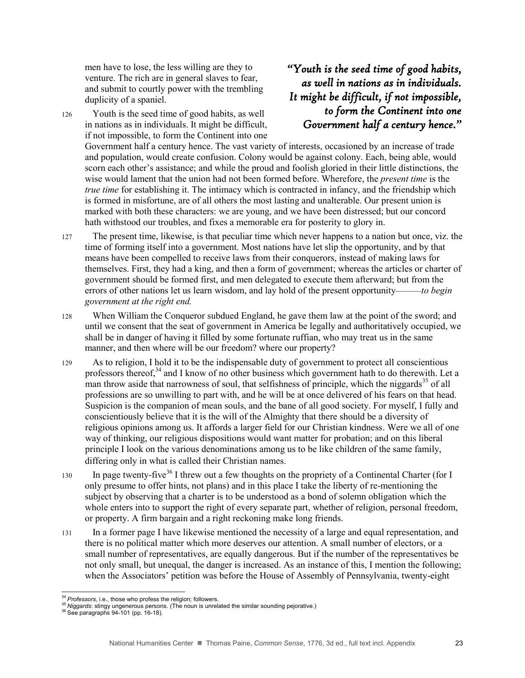men have to lose, the less willing are they to venture. The rich are in general slaves to fear, and submit to courtly power with the trembling duplicity of a spaniel.

126 Youth is the seed time of good habits, as well in nations as in individuals. It might be difficult, if not impossible, to form the Continent into one *"Youth is the seed time of good habits, as well in nations as in individuals. It might be difficult, if not impossible, to form the Continent into one Government half a century hence."* 

Government half a century hence. The vast variety of interests, occasioned by an increase of trade and population, would create confusion. Colony would be against colony. Each, being able, would scorn each other's assistance; and while the proud and foolish gloried in their little distinctions, the wise would lament that the union had not been formed before. Wherefore, the *present time* is the *true time* for establishing it. The intimacy which is contracted in infancy, and the friendship which is formed in misfortune, are of all others the most lasting and unalterable. Our present union is marked with both these characters: we are young, and we have been distressed; but our concord hath withstood our troubles, and fixes a memorable era for posterity to glory in.

- 127 The present time, likewise, is that peculiar time which never happens to a nation but once, viz. the time of forming itself into a government. Most nations have let slip the opportunity, and by that means have been compelled to receive laws from their conquerors, instead of making laws for themselves. First, they had a king, and then a form of government; whereas the articles or charter of government should be formed first, and men delegated to execute them afterward; but from the errors of other nations let us learn wisdom, and lay hold of the present opportunity———*to begin government at the right end.*
- 128 When William the Conqueror subdued England, he gave them law at the point of the sword; and until we consent that the seat of government in America be legally and authoritatively occupied, we shall be in danger of having it filled by some fortunate ruffian, who may treat us in the same manner, and then where will be our freedom? where our property?
- 129 As to religion, I hold it to be the indispensable duty of government to protect all conscientious professors thereof.<sup>34</sup> and I know of no other business which government hath to do therewith. Let a man throw aside that narrowness of soul, that selfishness of principle, which the niggards<sup>35</sup> of all professions are so unwilling to part with, and he will be at once delivered of his fears on that head. Suspicion is the companion of mean souls, and the bane of all good society. For myself, I fully and conscientiously believe that it is the will of the Almighty that there should be a diversity of religious opinions among us. It affords a larger field for our Christian kindness. Were we all of one way of thinking, our religious dispositions would want matter for probation; and on this liberal principle I look on the various denominations among us to be like children of the same family, differing only in what is called their Christian names.
- 130 In page twenty-five<sup>36</sup> I threw out a few thoughts on the propriety of a Continental Charter (for I only presume to offer hints, not plans) and in this place I take the liberty of re-mentioning the subject by observing that a charter is to be understood as a bond of solemn obligation which the whole enters into to support the right of every separate part, whether of religion, personal freedom, or property. A firm bargain and a right reckoning make long friends.
- 131 In a former page I have likewise mentioned the necessity of a large and equal representation, and there is no political matter which more deserves our attention. A small number of electors, or a small number of representatives, are equally dangerous. But if the number of the representatives be not only small, but unequal, the danger is increased. As an instance of this, I mention the following; when the Associators' petition was before the House of Assembly of Pennsylvania, twenty-eight

 $\overline{a}$ 

<sup>34</sup> *Professors*, i.e., those who profess the religion; followers.

<sup>35</sup> *Niggards*: stingy ungenerous persons. (The noun is unrelated the similar sounding pejorative.)

 $36$  See paragraphs 94-101 (pp. 16-18).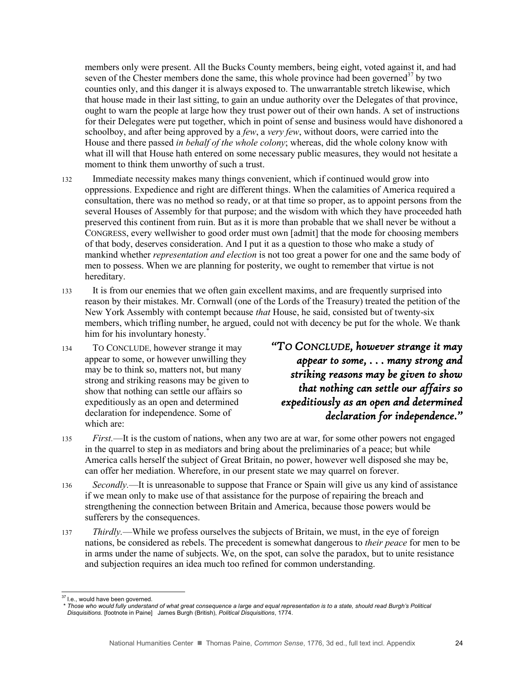members only were present. All the Bucks County members, being eight, voted against it, and had seven of the Chester members done the same, this whole province had been governed<sup>37</sup> by two counties only, and this danger it is always exposed to. The unwarrantable stretch likewise, which that house made in their last sitting, to gain an undue authority over the Delegates of that province, ought to warn the people at large how they trust power out of their own hands. A set of instructions for their Delegates were put together, which in point of sense and business would have dishonored a schoolboy, and after being approved by a *few*, a *very few*, without doors, were carried into the House and there passed *in behalf of the whole colony*; whereas, did the whole colony know with what ill will that House hath entered on some necessary public measures, they would not hesitate a moment to think them unworthy of such a trust.

- 132 Immediate necessity makes many things convenient, which if continued would grow into oppressions. Expedience and right are different things. When the calamities of America required a consultation, there was no method so ready, or at that time so proper, as to appoint persons from the several Houses of Assembly for that purpose; and the wisdom with which they have proceeded hath preserved this continent from ruin. But as it is more than probable that we shall never be without a CONGRESS, every wellwisher to good order must own [admit] that the mode for choosing members of that body, deserves consideration. And I put it as a question to those who make a study of mankind whether *representation and election* is not too great a power for one and the same body of men to possess. When we are planning for posterity, we ought to remember that virtue is not hereditary.
- 133 It is from our enemies that we often gain excellent maxims, and are frequently surprised into reason by their mistakes. Mr. Cornwall (one of the Lords of the Treasury) treated the petition of the New York Assembly with contempt because *that* House, he said, consisted but of twenty-six members, which trifling number, he argued, could not with decency be put for the whole. We thank him for his involuntary honesty.<sup>\*</sup>
- 134 TO CONCLUDE, however strange it may appear to some, or however unwilling they may be to think so, matters not, but many strong and striking reasons may be given to show that nothing can settle our affairs so expeditiously as an open and determined declaration for independence. Some of which are:

*"TO CONCLUDE, however strange it may appear to some, . . . many strong and striking reasons may be given to show that nothing can settle our affairs so expeditiously as an open and determined declaration for independence."* 

- 135 *First.*—It is the custom of nations, when any two are at war, for some other powers not engaged in the quarrel to step in as mediators and bring about the preliminaries of a peace; but while America calls herself the subject of Great Britain, no power, however well disposed she may be, can offer her mediation. Wherefore, in our present state we may quarrel on forever.
- 136 *Secondly.*—It is unreasonable to suppose that France or Spain will give us any kind of assistance if we mean only to make use of that assistance for the purpose of repairing the breach and strengthening the connection between Britain and America, because those powers would be sufferers by the consequences.
- 137 *Thirdly.*—While we profess ourselves the subjects of Britain, we must, in the eye of foreign nations, be considered as rebels. The precedent is somewhat dangerous to *their peace* for men to be in arms under the name of subjects. We, on the spot, can solve the paradox, but to unite resistance and subjection requires an idea much too refined for common understanding.

 $\overline{a}$ <sup>37</sup> I.e., would have been governed.

<sup>\*</sup> *Those who would fully understand of what great consequence a large and equal representation is to a state, should read Burgh's Political Disquisitions.* [footnote in Paine] James Burgh (British), *Political Disquisitions*, 1774.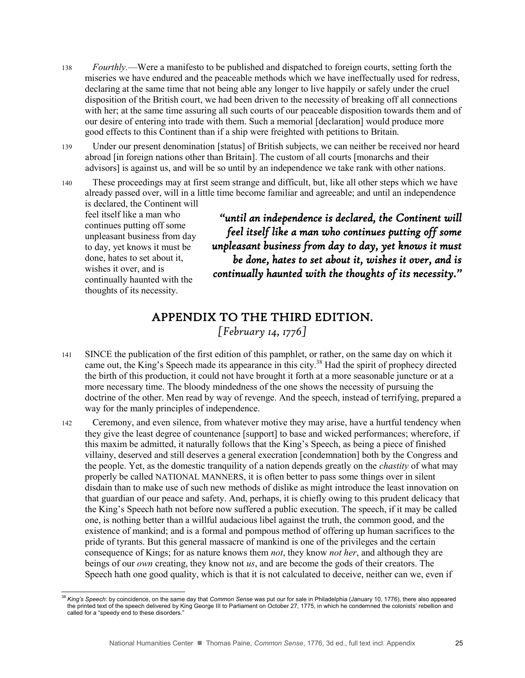- 138 *Fourthly.*—Were a manifesto to be published and dispatched to foreign courts, setting forth the miseries we have endured and the peaceable methods which we have ineffectually used for redress, declaring at the same time that not being able any longer to live happily or safely under the cruel disposition of the British court, we had been driven to the necessity of breaking off all connections with her; at the same time assuring all such courts of our peaceable disposition towards them and of our desire of entering into trade with them. Such a memorial [declaration] would produce more good effects to this Continent than if a ship were freighted with petitions to Britain.
- 139 Under our present denomination [status] of British subjects, we can neither be received nor heard abroad [in foreign nations other than Britain]. The custom of all courts [monarchs and their advisors] is against us, and will be so until by an independence we take rank with other nations.

140 These proceedings may at first seem strange and difficult, but, like all other steps which we have already passed over, will in a little time become familiar and agreeable; and until an independence is declared, the Continent will feel itself like a man who

continues putting off some unpleasant business from day to day, yet knows it must be done, hates to set about it, wishes it over, and is continually haunted with the thoughts of its necessity.

 $\overline{a}$ 

*"until an independence is declared, the Continent will feel itself like a man who continues putting off some unpleasant business from day to day, yet knows it must be done, hates to set about it, wishes it over, and is continually haunted with the thoughts of its necessity."* 

#### APPENDIX TO THE THIRD EDITION. *[February 14, 1776]*

- 141 SINCE the publication of the first edition of this pamphlet, or rather, on the same day on which it came out, the King's Speech made its appearance in this city.<sup>38</sup> Had the spirit of prophecy directed the birth of this production, it could not have brought it forth at a more seasonable juncture or at a more necessary time. The bloody mindedness of the one shows the necessity of pursuing the doctrine of the other. Men read by way of revenge. And the speech, instead of terrifying, prepared a way for the manly principles of independence.
- 142 Ceremony, and even silence, from whatever motive they may arise, have a hurtful tendency when they give the least degree of countenance [support] to base and wicked performances; wherefore, if this maxim be admitted, it naturally follows that the King's Speech, as being a piece of finished villainy, deserved and still deserves a general execration [condemnation] both by the Congress and the people. Yet, as the domestic tranquility of a nation depends greatly on the *chastity* of what may properly be called NATIONAL MANNERS, it is often better to pass some things over in silent disdain than to make use of such new methods of dislike as might introduce the least innovation on that guardian of our peace and safety. And, perhaps, it is chiefly owing to this prudent delicacy that the King's Speech hath not before now suffered a public execution. The speech, if it may be called one, is nothing better than a willful audacious libel against the truth, the common good, and the existence of mankind; and is a formal and pompous method of offering up human sacrifices to the pride of tyrants. But this general massacre of mankind is one of the privileges and the certain consequence of Kings; for as nature knows them *not*, they know *not her*, and although they are beings of our *own* creating, they know not *us*, and are become the gods of their creators. The Speech hath one good quality, which is that it is not calculated to deceive, neither can we, even if

<sup>38</sup> *King's Speech*: by coincidence, on the same day that *Common Sense* was put our for sale in Philadelphia (January 10, 1776), there also appeared the printed text of the speech delivered by King George III to Parliament on October 27, 1775, in which he condemned the colonists' rebellion and called for a "speedy end to these disorders."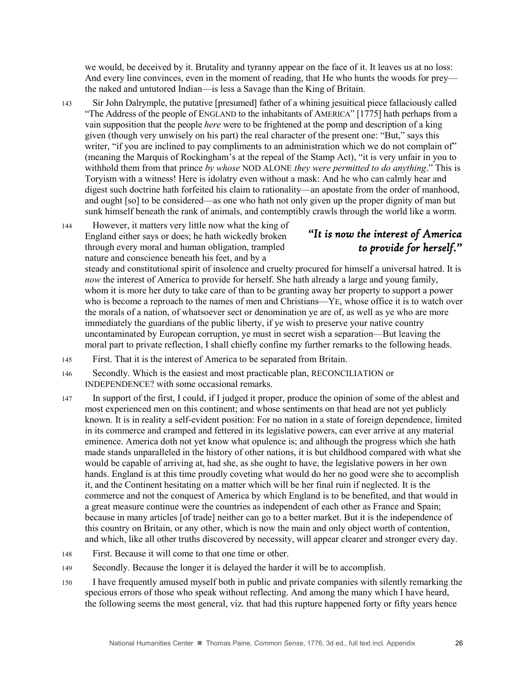we would, be deceived by it. Brutality and tyranny appear on the face of it. It leaves us at no loss: And every line convinces, even in the moment of reading, that He who hunts the woods for prey the naked and untutored Indian—is less a Savage than the King of Britain.

- 143 Sir John Dalrymple, the putative [presumed] father of a whining jesuitical piece fallaciously called "The Address of the people of ENGLAND to the inhabitants of AMERICA" [1775] hath perhaps from a vain supposition that the people *here* were to be frightened at the pomp and description of a king given (though very unwisely on his part) the real character of the present one: "But," says this writer, "if you are inclined to pay compliments to an administration which we do not complain of" (meaning the Marquis of Rockingham's at the repeal of the Stamp Act), "it is very unfair in you to withhold them from that prince *by whose* NOD ALONE *they were permitted to do anything*." This is Toryism with a witness! Here is idolatry even without a mask: And he who can calmly hear and digest such doctrine hath forfeited his claim to rationality—an apostate from the order of manhood, and ought [so] to be considered—as one who hath not only given up the proper dignity of man but sunk himself beneath the rank of animals, and contemptibly crawls through the world like a worm.
- 144 However, it matters very little now what the king of England either says or does; he hath wickedly broken through every moral and human obligation, trampled nature and conscience beneath his feet, and by a

### *"It is now the interest of America to provide for herself."*

nature and conscience beneath his feet, and by a<br>steady and constitutional spirit of insolence and cruelty procured for himself a universal hatred. It is *now* the interest of America to provide for herself. She hath already a large and young family, whom it is more her duty to take care of than to be granting away her property to support a power who is become a reproach to the names of men and Christians—YE, whose office it is to watch over the morals of a nation, of whatsoever sect or denomination ye are of, as well as ye who are more immediately the guardians of the public liberty, if ye wish to preserve your native country uncontaminated by European corruption, ye must in secret wish a separation—But leaving the moral part to private reflection, I shall chiefly confine my further remarks to the following heads.

- 145 First. That it is the interest of America to be separated from Britain.
- 146 Secondly. Which is the easiest and most practicable plan, RECONCILIATION or INDEPENDENCE? with some occasional remarks.
- 147 In support of the first, I could, if I judged it proper, produce the opinion of some of the ablest and most experienced men on this continent; and whose sentiments on that head are not yet publicly known. It is in reality a self-evident position: For no nation in a state of foreign dependence, limited in its commerce and cramped and fettered in its legislative powers, can ever arrive at any material eminence. America doth not yet know what opulence is; and although the progress which she hath made stands unparalleled in the history of other nations, it is but childhood compared with what she would be capable of arriving at, had she, as she ought to have, the legislative powers in her own hands. England is at this time proudly coveting what would do her no good were she to accomplish it, and the Continent hesitating on a matter which will be her final ruin if neglected. It is the commerce and not the conquest of America by which England is to be benefited, and that would in a great measure continue were the countries as independent of each other as France and Spain; because in many articles [of trade] neither can go to a better market. But it is the independence of this country on Britain, or any other, which is now the main and only object worth of contention, and which, like all other truths discovered by necessity, will appear clearer and stronger every day.
- 148 First. Because it will come to that one time or other.
- 149 Secondly. Because the longer it is delayed the harder it will be to accomplish.
- 150 I have frequently amused myself both in public and private companies with silently remarking the specious errors of those who speak without reflecting. And among the many which I have heard, the following seems the most general, viz. that had this rupture happened forty or fifty years hence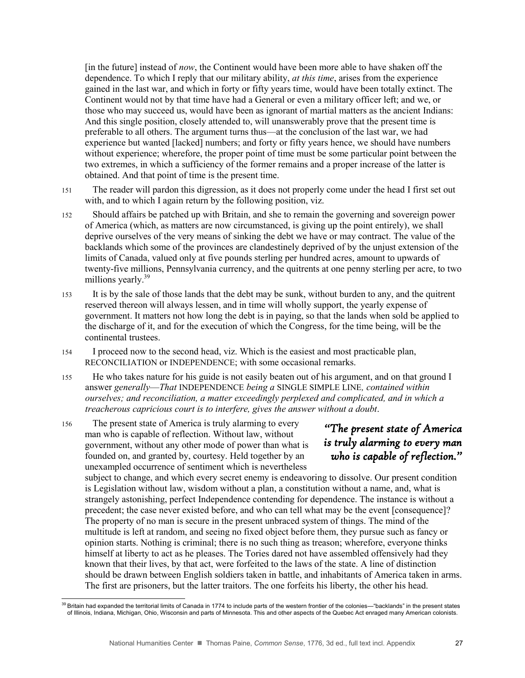[in the future] instead of *now*, the Continent would have been more able to have shaken off the dependence. To which I reply that our military ability, *at this time*, arises from the experience gained in the last war, and which in forty or fifty years time, would have been totally extinct. The Continent would not by that time have had a General or even a military officer left; and we, or those who may succeed us, would have been as ignorant of martial matters as the ancient Indians: And this single position, closely attended to, will unanswerably prove that the present time is preferable to all others. The argument turns thus—at the conclusion of the last war, we had experience but wanted [lacked] numbers; and forty or fifty years hence, we should have numbers without experience; wherefore, the proper point of time must be some particular point between the two extremes, in which a sufficiency of the former remains and a proper increase of the latter is obtained. And that point of time is the present time.

- 151 The reader will pardon this digression, as it does not properly come under the head I first set out with, and to which I again return by the following position, viz.
- 152 Should affairs be patched up with Britain, and she to remain the governing and sovereign power of America (which, as matters are now circumstanced, is giving up the point entirely), we shall deprive ourselves of the very means of sinking the debt we have or may contract. The value of the backlands which some of the provinces are clandestinely deprived of by the unjust extension of the limits of Canada, valued only at five pounds sterling per hundred acres, amount to upwards of twenty-five millions, Pennsylvania currency, and the quitrents at one penny sterling per acre, to two millions yearly.<sup>39</sup>
- 153 It is by the sale of those lands that the debt may be sunk, without burden to any, and the quitrent reserved thereon will always lessen, and in time will wholly support, the yearly expense of government. It matters not how long the debt is in paying, so that the lands when sold be applied to the discharge of it, and for the execution of which the Congress, for the time being, will be the continental trustees.
- 154 I proceed now to the second head, viz. Which is the easiest and most practicable plan, RECONCILIATION or INDEPENDENCE; with some occasional remarks.
- 155 He who takes nature for his guide is not easily beaten out of his argument, and on that ground I answer *generally*—*That* INDEPENDENCE *being a* SINGLE SIMPLE LINE*, contained within ourselves; and reconciliation, a matter exceedingly perplexed and complicated, and in which a treacherous capricious court is to interfere, gives the answer without a doubt*.

156 The present state of America is truly alarming to every man who is capable of reflection. Without law, without government, without any other mode of power than what is founded on, and granted by, courtesy. Held together by an unexampled occurrence of sentiment which is nevertheless

l

### *"The present state of America is truly alarming to every man who is capable of reflection."*

subject to change, and which every secret enemy is endeavoring to dissolve. Our present condition is Legislation without law, wisdom without a plan, a constitution without a name, and, what is strangely astonishing, perfect Independence contending for dependence. The instance is without a precedent; the case never existed before, and who can tell what may be the event [consequence]? The property of no man is secure in the present unbraced system of things. The mind of the multitude is left at random, and seeing no fixed object before them, they pursue such as fancy or opinion starts. Nothing is criminal; there is no such thing as treason; wherefore, everyone thinks himself at liberty to act as he pleases. The Tories dared not have assembled offensively had they known that their lives, by that act, were forfeited to the laws of the state. A line of distinction should be drawn between English soldiers taken in battle, and inhabitants of America taken in arms. The first are prisoners, but the latter traitors. The one forfeits his liberty, the other his head.

 $39$  Britain had expanded the territorial limits of Canada in 1774 to include parts of the western frontier of the colonies—"backlands" in the present states of Illinois, Indiana, Michigan, Ohio, Wisconsin and parts of Minnesota. This and other aspects of the Quebec Act enraged many American colonists.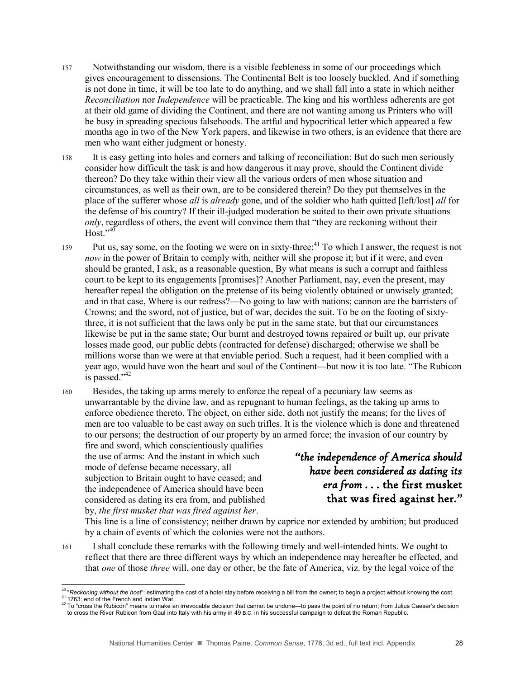- 157 Notwithstanding our wisdom, there is a visible feebleness in some of our proceedings which gives encouragement to dissensions. The Continental Belt is too loosely buckled. And if something is not done in time, it will be too late to do anything, and we shall fall into a state in which neither *Reconciliation* nor *Independence* will be practicable. The king and his worthless adherents are got at their old game of dividing the Continent, and there are not wanting among us Printers who will be busy in spreading specious falsehoods. The artful and hypocritical letter which appeared a few months ago in two of the New York papers, and likewise in two others, is an evidence that there are men who want either judgment or honesty.
- 158 It is easy getting into holes and corners and talking of reconciliation: But do such men seriously consider how difficult the task is and how dangerous it may prove, should the Continent divide thereon? Do they take within their view all the various orders of men whose situation and circumstances, as well as their own, are to be considered therein? Do they put themselves in the place of the sufferer whose *all* is *already* gone, and of the soldier who hath quitted [left/lost] *all* for the defense of his country? If their ill-judged moderation be suited to their own private situations *only*, regardless of others, the event will convince them that "they are reckoning without their Host." 40
- 159 Put us, say some, on the footing we were on in sixty-three:<sup>41</sup> To which I answer, the request is not *now* in the power of Britain to comply with, neither will she propose it; but if it were, and even should be granted, I ask, as a reasonable question, By what means is such a corrupt and faithless court to be kept to its engagements [promises]? Another Parliament, nay, even the present, may hereafter repeal the obligation on the pretense of its being violently obtained or unwisely granted; and in that case, Where is our redress?—No going to law with nations; cannon are the barristers of Crowns; and the sword, not of justice, but of war, decides the suit. To be on the footing of sixtythree, it is not sufficient that the laws only be put in the same state, but that our circumstances likewise be put in the same state; Our burnt and destroyed towns repaired or built up, our private losses made good, our public debts (contracted for defense) discharged; otherwise we shall be millions worse than we were at that enviable period. Such a request, had it been complied with a year ago, would have won the heart and soul of the Continent—but now it is too late. "The Rubicon is passed."<sup>42</sup>
- 160 Besides, the taking up arms merely to enforce the repeal of a pecuniary law seems as unwarrantable by the divine law, and as repugnant to human feelings, as the taking up arms to enforce obedience thereto. The object, on either side, doth not justify the means; for the lives of men are too valuable to be cast away on such trifles. It is the violence which is done and threatened to our persons; the destruction of our property by an armed force; the invasion of our country by

fire and sword, which conscientiously qualifies the use of arms: And the instant in which such mode of defense became necessary, all subjection to Britain ought to have ceased; and the independence of America should have been considered as dating its era from, and published by, *the first musket that was fired against her*.

*"the independence of America should have been considered as dating its era from . . .* the first musket that was fired against her*."* 

This line is a line of consistency; neither drawn by caprice nor extended by ambition; but produced by a chain of events of which the colonies were not the authors.

161 I shall conclude these remarks with the following timely and well-intended hints. We ought to reflect that there are three different ways by which an independence may hereafter be effected, and that *one* of those *three* will, one day or other, be the fate of America, viz. by the legal voice of the

 $42$  To "cross the Rubicon" means to make an irrevocable decision that cannot be undone—to pass the point of no return; from Julius Caesar's decision to cross the River Rubicon from Gaul into Italy with his army in 49 B.C. in his successful campaign to defeat the Roman Republic.

l <sup>40</sup> "*Reckoning without the host*": estimating the cost of a hotel stay before receiving a bill from the owner; to begin a project without knowing the cost. 41 1763: end of the French and Indian War.